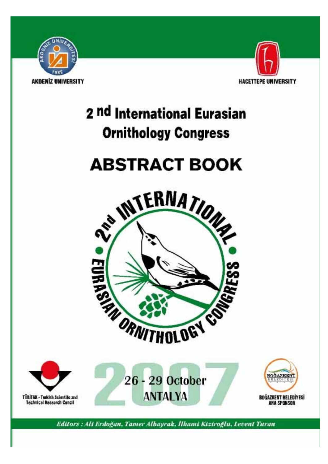



# **ABSTRACT BOOK**





Editors : Ali Erdoğan, Tamer Albayrak, İlhami Kiziroğlu, Levent Turan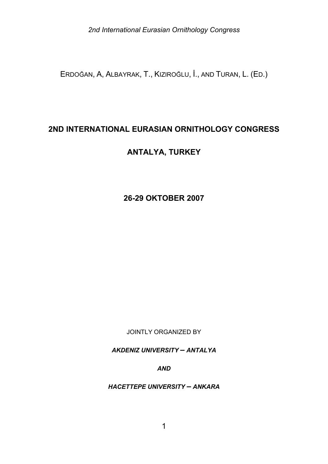ERDOĞAN, A, ALBAYRAK, T., KIZIROĞLU, İ., AND TURAN, L. (ED.)

# **2ND INTERNATIONAL EURASIAN ORNITHOLOGY CONGRESS**

# **ANTALYA, TURKEY**

# **26-29 OKTOBER 2007**

JOINTLY ORGANIZED BY

*AKDENIZ UNIVERSITY – ANTALYA*

*AND*

*HACETTEPE UNIVERSITY – ANKARA*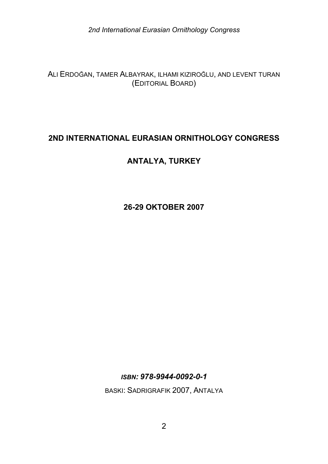ALI ERDOĞAN, TAMER ALBAYRAK, ILHAMI KIZIROĞLU, AND LEVENT TURAN (EDITORIAL BOARD)

# **2ND INTERNATIONAL EURASIAN ORNITHOLOGY CONGRESS**

# **ANTALYA, TURKEY**

**26-29 OKTOBER 2007** 

*ISBN: 978-9944-0092-0-1* 

BASKI: SADRIGRAFIK 2007, ANTALYA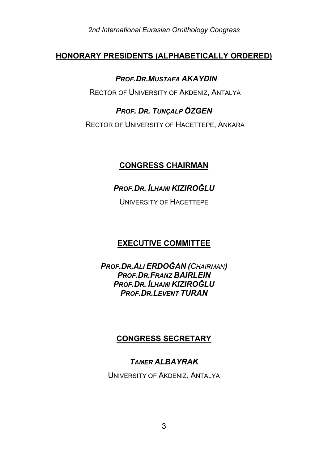# **HONORARY PRESIDENTS (ALPHABETICALLY ORDERED)**

#### *PROF.DR.MUSTAFA AKAYDIN*

RECTOR OF UNIVERSITY OF AKDENIZ, ANTALYA

# *PROF. DR. TUNÇALP ÖZGEN*

RECTOR OF UNIVERSITY OF HACETTEPE, ANKARA

# **CONGRESS CHAIRMAN**

# *PROF.DR. İLHAMI KIZIROĞLU*

UNIVERSITY OF HACETTEPE

# **EXECUTIVE COMMITTEE**

*PROF.DR.ALI ERDOĞAN (CHAIRMAN) PROF.DR.FRANZ BAIRLEIN PROF.DR. İLHAMI KIZIROĞLU PROF.DR.LEVENT TURAN* 

# **CONGRESS SECRETARY**

# *TAMER ALBAYRAK*

UNIVERSITY OF AKDENIZ, ANTALYA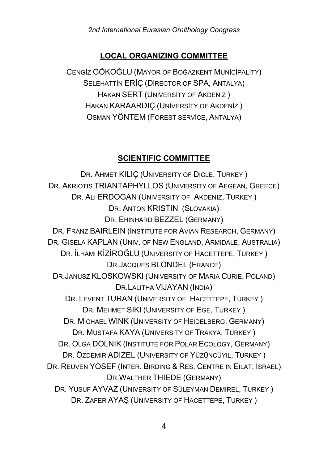### **LOCAL ORGANIZING COMMITTEE**

CENGİZ GÖKOĞLU (MAYOR OF BOĞAZKENT MUNİCİPALİTY) SELEHATTİN ERİÇ (DİRECTOR OF SPA, ANTALYA) HAKAN SERT (UNİVERSİTY OF AKDENİZ ) HAKAN KARAARDIÇ (UNİVERSİTY OF AKDENİZ ) OSMAN YÖNTEM (FOREST SERVİCE, ANTALYA)

#### **SCIENTIFIC COMMITTEE**

DR. AHMET KILIÇ (UNIVERSITY OF DICLE, TURKEY ) DR. AKRIOTIS TRIANTAPHYLLOS (UNIVERSITY OF AEGEAN, GREECE) DR. ALI ERDOGAN (UNIVERSITY OF AKDENIZ, TURKEY) DR. ANTON KRISTIN (SLOVAKIA) DR. EHINHARD BEZZEL (GERMANY) DR. FRANZ BAIRLEIN (INSTITUTE FOR AVIAN RESEARCH, GERMANY) DR. GISELA KAPLAN (UNIV. OF NEW ENGLAND, ARMIDALE, AUSTRALIA) DR. İLHAMI KİZİROĞLU (UNIVERSITY OF HACETTEPE, TURKEY ) DR.JACQUES BLONDEL (FRANCE) DR.JANUSZ KLOSKOWSKI (UNIVERSITY OF MARIA CURIE, POLAND) DR.LALITHA VIJAYAN (INDIA) DR. LEVENT TURAN (UNIVERSITY OF HACETTEPE, TURKEY) DR. MEHMET SIKI (UNIVERSITY OF EGE, TURKEY ) DR. MICHAEL WINK (UNIVERSITY OF HEIDELBERG, GERMANY) DR. MUSTAFA KAYA (UNIVERSITY OF TRAKYA, TURKEY ) DR. OLGA DOLNIK (INSTITUTE FOR POLAR ECOLOGY, GERMANY) DR. ÖZDEMIR ADIZEL (UNIVERSITY OF YÜZÜNCÜYIL, TURKEY ) DR. REUVEN YOSEF (INTER. BIRDING & RES. CENTRE IN EILAT, ISRAEL) DR.WALTHER THIEDE (GERMANY) DR. YUSUF AYVAZ (UNIVERSITY OF SÜLEYMAN DEMIREL, TURKEY ) DR. ZAFER AYAŞ (UNIVERSITY OF HACETTEPE, TURKEY )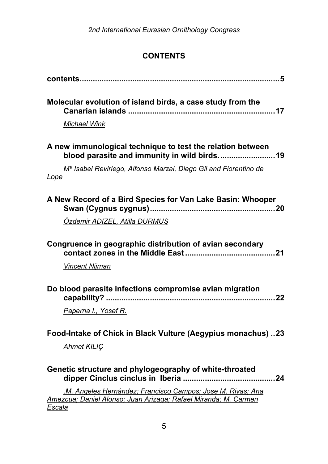# **CONTENTS**

| Molecular evolution of island birds, a case study from the                                                                              |
|-----------------------------------------------------------------------------------------------------------------------------------------|
| Michael Wink                                                                                                                            |
| A new immunological technique to test the relation between                                                                              |
| M <sup>a</sup> Isabel Reviriego, Alfonso Marzal, Diego Gil and Florentino de<br><u>Lope</u>                                             |
| A New Record of a Bird Species for Van Lake Basin: Whooper                                                                              |
| Özdemir ADIZEL, Atilla DURMUS                                                                                                           |
| Congruence in geographic distribution of avian secondary                                                                                |
| <b>Vincent Nijman</b>                                                                                                                   |
| Do blood parasite infections compromise avian migration                                                                                 |
| Paperna I., Yosef R.                                                                                                                    |
| Food-Intake of Chick in Black Vulture (Aegypius monachus) 23                                                                            |
| <b>Ahmet KILIÇ</b>                                                                                                                      |
| Genetic structure and phylogeography of white-throated                                                                                  |
| M. Angeles Hernández; Francisco Campos; Jose M. Rivas; Ana<br>Amezcua; Daniel Alonso; Juan Arizaga; Rafael Miranda; M. Carmen<br>Escala |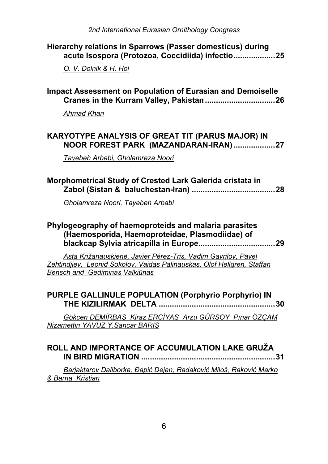| Hierarchy relations in Sparrows (Passer domesticus) during<br>acute Isospora (Protozoa, Coccidiida) infectio25                                                                    |
|-----------------------------------------------------------------------------------------------------------------------------------------------------------------------------------|
| O. V. Dolnik & H. Hoi                                                                                                                                                             |
| <b>Impact Assessment on Population of Eurasian and Demoiselle</b>                                                                                                                 |
| Ahmad Khan                                                                                                                                                                        |
| KARYOTYPE ANALYSIS OF GREAT TIT (PARUS MAJOR) IN<br>NOOR FOREST PARK (MAZANDARAN-IRAN)27                                                                                          |
| Tayebeh Arbabi, Gholamreza Noori                                                                                                                                                  |
| Morphometrical Study of Crested Lark Galerida cristata in                                                                                                                         |
| Gholamreza Noori, Tayebeh Arbabi                                                                                                                                                  |
| Phylogeography of haemoproteids and malaria parasites<br>(Haemosporida, Haemoproteidae, Plasmodiidae) of                                                                          |
| Asta Križanauskienė, Javier Pérez-Tris, Vadim Gavrilov, Pavel<br>Zehtindjiev, Leonid Sokolov, Vaidas Palinauskas, Olof Hellgren, Staffan<br><b>Bensch and Gediminas Valkiūnas</b> |
| PURPLE GALLINULE POPULATION (Porphyrio Porphyrio) IN<br>30                                                                                                                        |
| Gökcen DEMİRBAŞ Kiraz ERCİYAS Arzu GÜRSOY Pınar ÖZÇAM<br>Nizamettin YAVUZ Y.Sancar BARIS                                                                                          |
| ROLL AND IMPORTANCE OF ACCUMULATION LAKE GRUŽA<br><b>IN BIRD MIGRATION </b><br>31                                                                                                 |
| Barjaktarov Daliborka, Đapić Dejan, Radaković Miloš, Raković Marko<br>& Barna Kristian                                                                                            |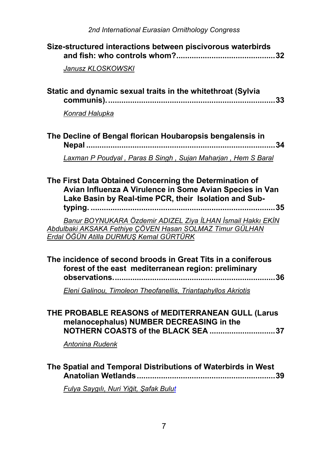| Size-structured interactions between piscivorous waterbirds                                                                                                                                                                                                                                                                                                   |
|---------------------------------------------------------------------------------------------------------------------------------------------------------------------------------------------------------------------------------------------------------------------------------------------------------------------------------------------------------------|
| Janusz KLOSKOWSKI                                                                                                                                                                                                                                                                                                                                             |
| Static and dynamic sexual traits in the whitethroat (Sylvia                                                                                                                                                                                                                                                                                                   |
| Konrad Halupka                                                                                                                                                                                                                                                                                                                                                |
| The Decline of Bengal florican Houbaropsis bengalensis in                                                                                                                                                                                                                                                                                                     |
| Laxman P Poudyal, Paras B Singh, Sujan Maharjan, Hem S Baral                                                                                                                                                                                                                                                                                                  |
| The First Data Obtained Concerning the Determination of<br>Avian Influenza A Virulence in Some Avian Species in Van<br>Lake Basin by Real-time PCR, their Isolation and Sub-<br>. 35<br><br>Banur BOYNUKARA Özdemir ADIZEL Ziya İLHAN İsmail Hakkı EKİN<br>Abdulbaki AKSAKA Fethiye ÇÖVEN Hasan SOLMAZ Timur GÜLHAN<br>Erdal ÖĞÜN Atilla DURMUŞ Kemal GÜRTÜRK |
| The incidence of second broods in Great Tits in a coniferous<br>forest of the east mediterranean region: preliminary<br>Eleni Galinou, Timoleon Theofanellis, Triantaphyllos Akriotis                                                                                                                                                                         |
| THE PROBABLE REASONS of MEDITERRANEAN GULL (Larus<br>melanocephalus) NUMBER DECREASING in the<br>NOTHERN COASTS of the BLACK SEA 37<br><b>Antonina Rudenk</b>                                                                                                                                                                                                 |
| The Spatial and Temporal Distributions of Waterbirds in West<br>Fulya Saygılı, Nuri Yiğit, Şafak Bulut                                                                                                                                                                                                                                                        |
|                                                                                                                                                                                                                                                                                                                                                               |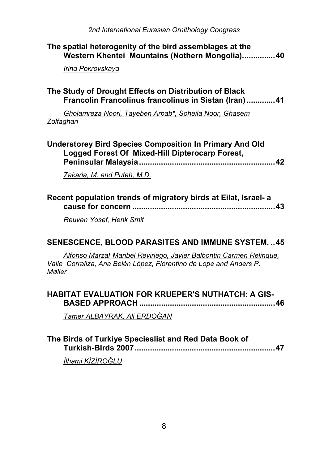| The spatial heterogenity of the bird assemblages at the<br>Western Khentei Mountains (Nothern Mongolia)40                                           |
|-----------------------------------------------------------------------------------------------------------------------------------------------------|
| Irina Pokrovskaya                                                                                                                                   |
| The Study of Drought Effects on Distribution of Black<br>Francolin Francolinus francolinus in Sistan (Iran)  41                                     |
| Gholamreza Noori, Tayebeh Arbab*, Soheila Noor, Ghasem<br>Zolfaghari                                                                                |
| <b>Understorey Bird Species Composition In Primary And Old</b><br>Logged Forest Of Mixed-Hill Dipterocarp Forest,                                   |
| Zakaria, M. and Puteh, M.D.                                                                                                                         |
| Recent population trends of migratory birds at Eilat, Israel- a                                                                                     |
| Reuven Yosef, Henk Smit                                                                                                                             |
| <b>SENESCENCE, BLOOD PARASITES AND IMMUNE SYSTEM. 45</b>                                                                                            |
| Alfonso Marzał Maribel Reviriego, Javier Balbontin Carmen Relinque,<br>Valle Corraliza, Ana Belén López, Florentino de Lope and Anders P.<br>Møller |
| <b>HABITAT EVALUATION FOR KRUEPER'S NUTHATCH: A GIS-</b>                                                                                            |
| Tamer ALBAYRAK, Ali ERDOĞAN                                                                                                                         |

| The Birds of Turkiye Specieslist and Red Data Book of |  |
|-------------------------------------------------------|--|
|                                                       |  |

*İlhami KİZİROĞLU*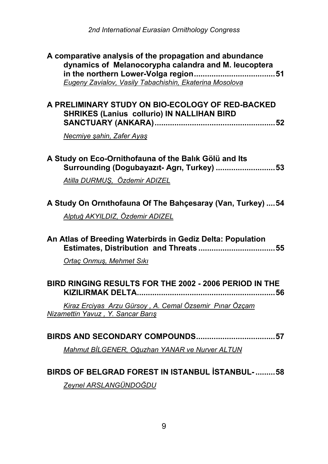| A comparative analysis of the propagation and abundance<br>dynamics of Melanocorypha calandra and M. leucoptera<br>Eugeny Zavialov, Vasily Tabachishin, Ekaterina Mosolova |
|----------------------------------------------------------------------------------------------------------------------------------------------------------------------------|
| A PRELIMINARY STUDY ON BIO-ECOLOGY OF RED-BACKED<br><b>SHRIKES (Lanius collurio) IN NALLIHAN BIRD</b>                                                                      |
| Necmiye şahin, Zafer Ayaş                                                                                                                                                  |
| A Study on Eco-Ornithofauna of the Balık Gölü and Its<br>Surrounding (Dogubayazıt- Agrı, Turkey) 53                                                                        |
| Atilla DURMUŞ, Özdemir ADIZEL                                                                                                                                              |
| A Study On Ornithofauna Of The Bahçesaray (Van, Turkey)  54<br>Alptuğ AKYILDIZ, Özdemir ADIZEL                                                                             |
|                                                                                                                                                                            |
| An Atlas of Breeding Waterbirds in Gediz Delta: Population                                                                                                                 |
| Ortaç Onmuş, Mehmet Sıkı                                                                                                                                                   |
| BIRD RINGING RESULTS FOR THE 2002 - 2006 PERIOD IN THE<br>56                                                                                                               |
| Kiraz Erciyas Arzu Gürsoy, A. Cemal Özsemir Pınar Özçam<br>Nizamettin Yavuz, Y. Sancar Barış                                                                               |
|                                                                                                                                                                            |
| Mahmut BİLGENER, Oğuzhan YANAR ve Nurver ALTUN                                                                                                                             |
| BIRDS OF BELGRAD FOREST IN ISTANBUL ISTANBUL- 58                                                                                                                           |
| Zeynel ARSLANGÜNDOĞDU                                                                                                                                                      |
|                                                                                                                                                                            |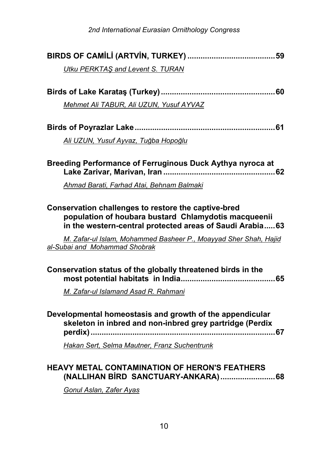| Utku PERKTAS and Levent S. TURAN                                                                                                                                                                                                             |
|----------------------------------------------------------------------------------------------------------------------------------------------------------------------------------------------------------------------------------------------|
|                                                                                                                                                                                                                                              |
|                                                                                                                                                                                                                                              |
| Mehmet Ali TABUR, Ali UZUN, Yusuf AYVAZ                                                                                                                                                                                                      |
|                                                                                                                                                                                                                                              |
| Ali UZUN, Yusuf Ayvaz, Tuğba Hopoğlu                                                                                                                                                                                                         |
| Breeding Performance of Ferruginous Duck Aythya nyroca at                                                                                                                                                                                    |
| Ahmad Barati, Farhad Atai, Behnam Balmaki                                                                                                                                                                                                    |
| Conservation challenges to restore the captive-bred<br>population of houbara bustard Chlamydotis macqueenii<br>in the western-central protected areas of Saudi Arabia 63<br>M. Zafar-ul Islam, Mohammed Basheer P., Moayyad Sher Shah, Hajid |
| al-Subai and Mohammad Shobrak                                                                                                                                                                                                                |
| Conservation status of the globally threatened birds in the<br>M. Zafar-ul Islamand Asad R. Rahmani                                                                                                                                          |
| Developmental homeostasis and growth of the appendicular<br>skeleton in inbred and non-inbred grey partridge (Perdix                                                                                                                         |
| Hakan Sert, Selma Mautner, Franz Suchentrunk                                                                                                                                                                                                 |
| <b>HEAVY METAL CONTAMINATION OF HERON'S FEATHERS</b><br>$C_{\text{multi}}$                                                                                                                                                                   |
|                                                                                                                                                                                                                                              |

*Gonul Aslan, Zafer Ayas*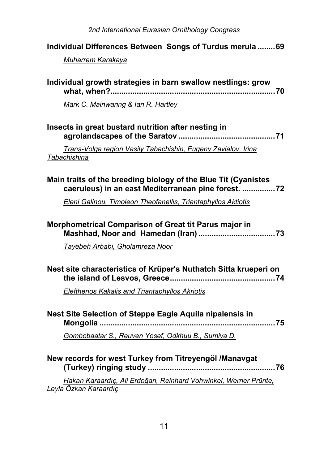**Individual Differences Between Songs of Turdus merula ........69**

| Muharrem Karakaya                                                                                                     |
|-----------------------------------------------------------------------------------------------------------------------|
| Individual growth strategies in barn swallow nestlings: grow                                                          |
| Mark C. Mainwaring & Ian R. Hartley                                                                                   |
| Insects in great bustard nutrition after nesting in                                                                   |
| Trans-Volga region Vasily Tabachishin, Eugeny Zavialov, Irina<br>Tabachishina                                         |
| Main traits of the breeding biology of the Blue Tit (Cyanistes<br>caeruleus) in an east Mediterranean pine forest. 72 |
| Eleni Galinou, Timoleon Theofanellis, Triantaphyllos Aktiotis                                                         |
| Morphometrical Comparison of Great tit Parus major in                                                                 |
| Tayebeh Arbabi, Gholamreza Noor                                                                                       |
| Nest site characteristics of Krüper's Nuthatch Sitta krueperi on                                                      |
| <b>Eleftherios Kakalis and Triantaphyllos Akriotis</b>                                                                |
| Nest Site Selection of Steppe Eagle Aquila nipalensis in                                                              |
| Gombobaatar S., Reuven Yosef, Odkhuu B., Sumiya D.                                                                    |
| New records for west Turkey from Titreyengöl /Manavgat                                                                |
| Hakan Karaardıç, Ali Erdoğan, Reinhard Vohwinkel, Werner Prünte,<br>Leyla Özkan Karaardıç                             |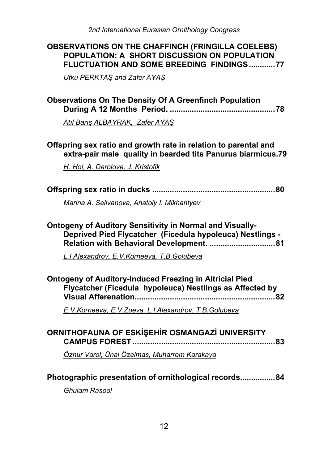# **OBSERVATIONS ON THE CHAFFINCH (FRINGILLA COELEBS) POPULATION: A SHORT DISCUSSION ON POPULATION FLUCTUATION AND SOME BREEDING FINDINGS............77**

*Utku PERKTAŞ and Zafer AYAŞ*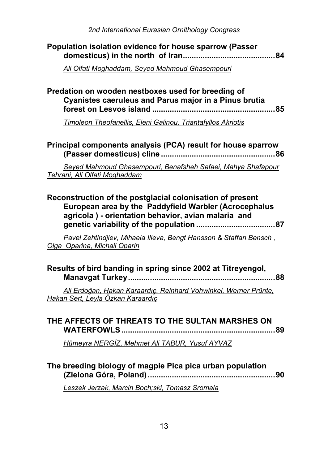| Population isolation evidence for house sparrow (Passer |  |
|---------------------------------------------------------|--|
|                                                         |  |

*Ali Olfati Moghaddam, Seyed Mahmoud Ghasempouri*

# **Predation on wooden nestboxes used for breeding of Cyanistes caeruleus and Parus major in a Pinus brutia forest on Lesvos island ........................................................85**

*Timoleon Theofanellis, Eleni Galinou, Triantafyllos Akriotis*

**Principal components analysis (PCA) result for house sparrow (Passer domesticus) cline ....................................................86**

*Seyed Mahmoud Ghasempouri, Benafsheh Safaei, Mahya Shafapour Tehrani, Ali Olfati Moghaddam*

**Reconstruction of the postglacial colonisation of present European area by the Paddyfield Warbler (Acrocephalus agricola ) - orientation behavior, avian malaria and genetic variability of the population ....................................87**

*Pavel Zehtindjiev, Mihaela Ilieva, Bengt Hansson & Staffan Bensch , Olga Oparina, Michail Oparin*

| Results of bird banding in spring since 2002 at Titreyengol, |  |
|--------------------------------------------------------------|--|
|                                                              |  |

*Ali Erdoğan, Hakan Karaardıç, Reinhard Vohwinkel, Werner Prünte, Hakan Sert, Leyla Özkan Karaardıç*

| THE AFFECTS OF THREATS TO THE SULTAN MARSHES ON |  |
|-------------------------------------------------|--|
|                                                 |  |

*Hümeyra NERGİZ, Mehmet Ali TABUR, Yusuf AYVAZ*

# **The breeding biology of magpie Pica pica urban population (Zielona Góra, Poland) ..........................................................90**

*Leszek Jerzak, Marcin Boch;ski, Tomasz Sromala*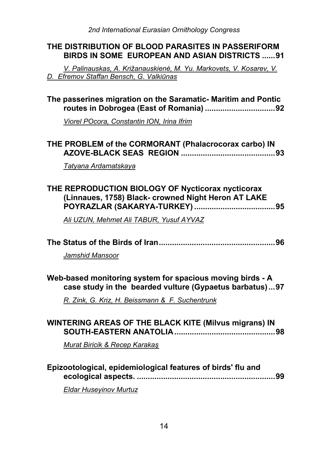# **THE DISTRIBUTION OF BLOOD PARASITES IN PASSERIFORM BIRDS IN SOME EUROPEAN AND ASIAN DISTRICTS ......91**

*V. Palinauskas, A. Križanauskienė, M. Yu. Markovets, V. Kosarev, V. D. Efremov Staffan Bensch, G. Valkiūnas*

# **The passerines migration on the Saramatic- Maritim and Pontic routes in Dobrogea (East of Romania) ................................92**

*Viorel POcora, Constantin ION, Irina Ifrim*

# **THE PROBLEM of the CORMORANT (Phalacrocorax carbo) IN AZOVE-BLACK SEAS REGION ...........................................93**

*Tatyana Ardamatskaya*

# **THE REPRODUCTION BIOLOGY OF Nycticorax nycticorax (Linnaues, 1758) Black- crowned Night Heron AT LAKE POYRAZLAR (SAKARYA-TURKEY) .....................................95**

*Ali UZUN, Mehmet Ali TABUR, Yusuf AYVAZ*

|--|--|

*Jamshid Mansoor*

# **Web-based monitoring system for spacious moving birds - A case study in the bearded vulture (Gypaetus barbatus) ...97**

*R. Zink, G. Kriz, H. Beissmann & F. Suchentrunk*

| <b>WINTERING AREAS OF THE BLACK KITE (Milvus migrans) IN</b> |  |
|--------------------------------------------------------------|--|
|                                                              |  |
| Murat Biricik & Recep Karakaş                                |  |

| Epizootological, epidemiological features of birds' flu and |  |
|-------------------------------------------------------------|--|
|                                                             |  |

*Eldar Huseyinov Murtuz*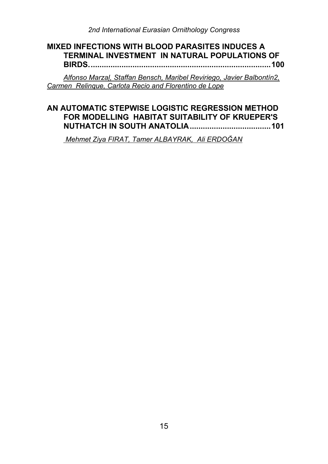#### **MIXED INFECTIONS WITH BLOOD PARASITES INDUCES A TERMINAL INVESTMENT IN NATURAL POPULATIONS OF BIRDS...................................................................................100**

*Alfonso Marzal, Staffan Bensch, Maribel Reviriego, Javier Balbontín2, Carmen Relinque, Carlota Recio and Florentino de Lope*

# **AN AUTOMATIC STEPWISE LOGISTIC REGRESSION METHOD FOR MODELLING HABITAT SUITABILITY OF KRUEPER'S NUTHATCH IN SOUTH ANATOLIA.....................................101**

 *Mehmet Ziya FIRAT, Tamer ALBAYRAK, Ali ERDOĞAN*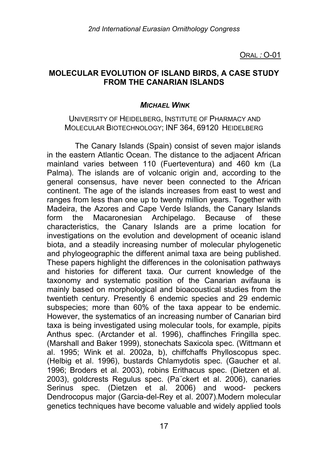ORAL *:* O-01

## **MOLECULAR EVOLUTION OF ISLAND BIRDS, A CASE STUDY FROM THE CANARIAN ISLANDS**

#### *MICHAEL WINK*

#### UNIVERSITY OF HEIDELBERG, INSTITUTE OF PHARMACY AND MOLECULAR BIOTECHNOLOGY; INF 364, 69120 HEIDELBERG

The Canary Islands (Spain) consist of seven major islands in the eastern Atlantic Ocean. The distance to the adjacent African mainland varies between 110 (Fuerteventura) and 460 km (La Palma). The islands are of volcanic origin and, according to the general consensus, have never been connected to the African continent. The age of the islands increases from east to west and ranges from less than one up to twenty million years. Together with Madeira, the Azores and Cape Verde Islands, the Canary Islands form the Macaronesian Archipelago. Because of these characteristics, the Canary Islands are a prime location for investigations on the evolution and development of oceanic island biota, and a steadily increasing number of molecular phylogenetic and phylogeographic the different animal taxa are being published. These papers highlight the differences in the colonisation pathways and histories for different taxa. Our current knowledge of the taxonomy and systematic position of the Canarian avifauna is mainly based on morphological and bioacoustical studies from the twentieth century. Presently 6 endemic species and 29 endemic subspecies; more than 60% of the taxa appear to be endemic. However, the systematics of an increasing number of Canarian bird taxa is being investigated using molecular tools, for example, pipits Anthus spec. (Arctander et al. 1996), chaffinches Fringilla spec. (Marshall and Baker 1999), stonechats Saxicola spec. (Wittmann et al. 1995; Wink et al. 2002a, b), chiffchaffs Phylloscopus spec. (Helbig et al. 1996), bustards Chlamydotis spec. (Gaucher et al. 1996; Broders et al. 2003), robins Erithacus spec. (Dietzen et al. 2003), goldcrests Regulus spec. (Pa¨ckert et al. 2006), canaries Serinus spec. (Dietzen et al. 2006) and wood- peckers Dendrocopus major (Garcia-del-Rey et al. 2007).Modern molecular genetics techniques have become valuable and widely applied tools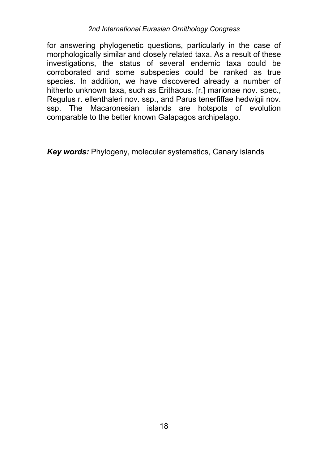for answering phylogenetic questions, particularly in the case of morphologically similar and closely related taxa. As a result of these investigations, the status of several endemic taxa could be corroborated and some subspecies could be ranked as true species. In addition, we have discovered already a number of hitherto unknown taxa, such as Erithacus. [r.] marionae nov. spec., Regulus r. ellenthaleri nov. ssp., and Parus tenerfiffae hedwigii nov. ssp. The Macaronesian islands are hotspots of evolution comparable to the better known Galapagos archipelago.

*Key words:* Phylogeny, molecular systematics, Canary islands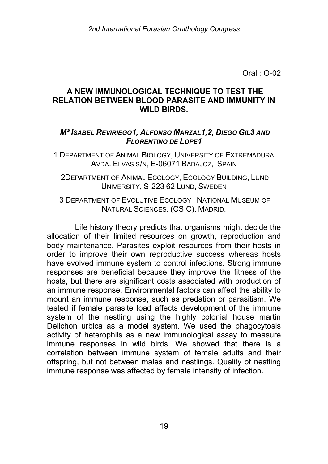# **A NEW IMMUNOLOGICAL TECHNIQUE TO TEST THE RELATION BETWEEN BLOOD PARASITE AND IMMUNITY IN WILD BIRDS.**

# *Mª ISABEL REVIRIEGO1, ALFONSO MARZAL1,2, DIEGO GIL3 AND FLORENTINO DE LOPE1*

1 DEPARTMENT OF ANIMAL BIOLOGY, UNIVERSITY OF EXTREMADURA, AVDA. ELVAS S/N, E-06071 BADAJOZ, SPAIN

2DEPARTMENT OF ANIMAL ECOLOGY, ECOLOGY BUILDING, LUND UNIVERSITY, S-223 62 LUND, SWEDEN

3 DEPARTMENT OF EVOLUTIVE ECOLOGY . NATIONAL MUSEUM OF NATURAL SCIENCES. (CSIC). MADRID.

Life history theory predicts that organisms might decide the allocation of their limited resources on growth, reproduction and body maintenance. Parasites exploit resources from their hosts in order to improve their own reproductive success whereas hosts have evolved immune system to control infections. Strong immune responses are beneficial because they improve the fitness of the hosts, but there are significant costs associated with production of an immune response. Environmental factors can affect the ability to mount an immune response, such as predation or parasitism. We tested if female parasite load affects development of the immune system of the nestling using the highly colonial house martin Delichon urbica as a model system. We used the phagocytosis activity of heterophils as a new immunological assay to measure immune responses in wild birds. We showed that there is a correlation between immune system of female adults and their offspring, but not between males and nestlings. Quality of nestling immune response was affected by female intensity of infection.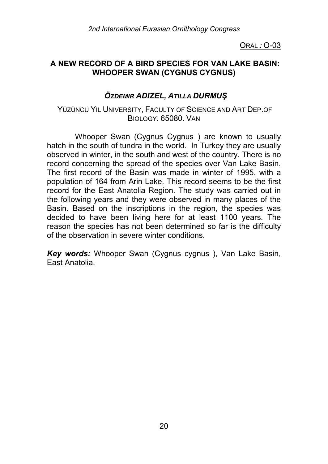ORAL *:* O-03

# **A NEW RECORD OF A BIRD SPECIES FOR VAN LAKE BASIN: WHOOPER SWAN (CYGNUS CYGNUS)**

# *ÖZDEMIR ADIZEL, ATILLA DURMUŞ*

## YÜZÜNCÜ YIL UNIVERSITY, FACULTY OF SCIENCE AND ART DEP.OF BIOLOGY. 65080. VAN

Whooper Swan (Cygnus Cygnus ) are known to usually hatch in the south of tundra in the world. In Turkey they are usually observed in winter, in the south and west of the country. There is no record concerning the spread of the species over Van Lake Basin. The first record of the Basin was made in winter of 1995, with a population of 164 from Arin Lake. This record seems to be the first record for the East Anatolia Region. The study was carried out in the following years and they were observed in many places of the Basin. Based on the inscriptions in the region, the species was decided to have been living here for at least 1100 years. The reason the species has not been determined so far is the difficulty of the observation in severe winter conditions.

*Key words:* Whooper Swan (Cygnus cygnus ), Van Lake Basin, East Anatolia.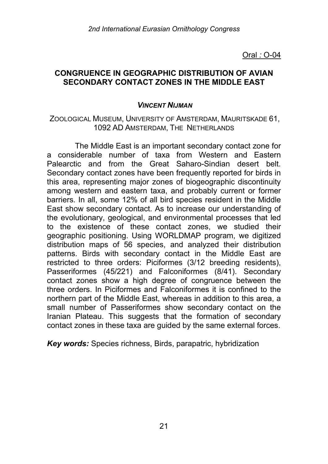## **CONGRUENCE IN GEOGRAPHIC DISTRIBUTION OF AVIAN SECONDARY CONTACT ZONES IN THE MIDDLE EAST**

## *VINCENT NIJMAN*

#### ZOOLOGICAL MUSEUM, UNIVERSITY OF AMSTERDAM, MAURITSKADE 61, 1092 AD AMSTERDAM, THE NETHERLANDS

The Middle East is an important secondary contact zone for a considerable number of taxa from Western and Eastern Palearctic and from the Great Saharo-Sindian desert belt. Secondary contact zones have been frequently reported for birds in this area, representing major zones of biogeographic discontinuity among western and eastern taxa, and probably current or former barriers. In all, some 12% of all bird species resident in the Middle East show secondary contact. As to increase our understanding of the evolutionary, geological, and environmental processes that led to the existence of these contact zones, we studied their geographic positioning. Using WORLDMAP program, we digitized distribution maps of 56 species, and analyzed their distribution patterns. Birds with secondary contact in the Middle East are restricted to three orders: Piciformes (3/12 breeding residents), Passeriformes (45/221) and Falconiformes (8/41). Secondary contact zones show a high degree of congruence between the three orders. In Piciformes and Falconiformes it is confined to the northern part of the Middle East, whereas in addition to this area, a small number of Passeriformes show secondary contact on the Iranian Plateau. This suggests that the formation of secondary contact zones in these taxa are guided by the same external forces.

*Key words:* Species richness, Birds, parapatric, hybridization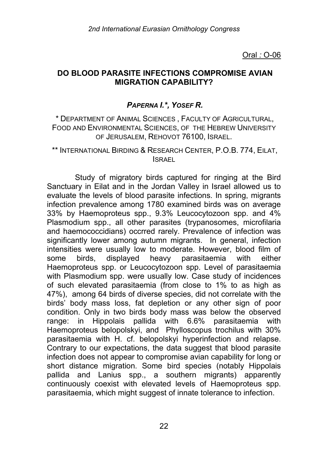# **DO BLOOD PARASITE INFECTIONS COMPROMISE AVIAN MIGRATION CAPABILITY?**

# *PAPERNA I.\*, YOSEF R.*

\* DEPARTMENT OF ANIMAL SCIENCES , FACULTY OF AGRICULTURAL, FOOD AND ENVIRONMENTAL SCIENCES, OF THE HEBREW UNIVERSITY OF JERUSALEM, REHOVOT 76100, ISRAEL.

\*\* INTERNATIONAL BIRDING & RESEARCH CENTER, P.O.B. 774, EILAT, ISRAEL

Study of migratory birds captured for ringing at the Bird Sanctuary in Eilat and in the Jordan Valley in Israel allowed us to evaluate the levels of blood parasite infections. In spring, migrants infection prevalence among 1780 examined birds was on average 33% by Haemoproteus spp., 9.3% Leucocytozoon spp. and 4% Plasmodium spp., all other parasites (trypanosomes, microfilaria and haemococcidians) occrred rarely. Prevalence of infection was significantly lower among autumn migrants. In general, infection intensities were usually low to moderate. However, blood film of some birds, displayed heavy parasitaemia with either Haemoproteus spp. or Leucocytozoon spp. Level of parasitaemia with Plasmodium spp. were usually low. Case study of incidences of such elevated parasitaemia (from close to 1% to as high as 47%), among 64 birds of diverse species, did not correlate with the birds' body mass loss, fat depletion or any other sign of poor condition. Only in two birds body mass was below the observed range: in Hippolais pallida with 6.6% parasitaemia with Haemoproteus belopolskyi, and Phylloscopus trochilus with 30% parasitaemia with H. cf. belopolskyi hyperinfection and relapse. Contrary to our expectations, the data suggest that blood parasite infection does not appear to compromise avian capability for long or short distance migration. Some bird species (notably Hippolais pallida and Lanius spp., a southern migrants) apparently continuously coexist with elevated levels of Haemoproteus spp. parasitaemia, which might suggest of innate tolerance to infection.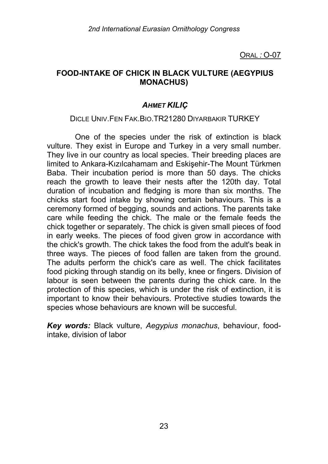ORAL *:* O-07

## **FOOD-INTAKE OF CHICK IN BLACK VULTURE (AEGYPIUS MONACHUS)**

# *AHMET KILIÇ*

## DICLE UNIV.FEN FAK.BIO.TR21280 DIYARBAKIR TURKEY

One of the species under the risk of extinction is black vulture. They exist in Europe and Turkey in a very small number. They live in our country as local species. Their breeding places are limited to Ankara-Kızılcahamam and Eskişehir-The Mount Türkmen Baba. Their incubation period is more than 50 days. The chicks reach the growth to leave their nests after the 120th day. Total duration of incubation and fledging is more than six months. The chicks start food intake by showing certain behaviours. This is a ceremony formed of begging, sounds and actions. The parents take care while feeding the chick. The male or the female feeds the chick together or separately. The chick is given small pieces of food in early weeks. The pieces of food given grow in accordance with the chick's growth. The chick takes the food from the adult's beak in three ways. The pieces of food fallen are taken from the ground. The adults perform the chick's care as well. The chick facilitates food picking through standig on its belly, knee or fingers. Division of labour is seen between the parents during the chick care. In the protection of this species, which is under the risk of extinction, it is important to know their behaviours. Protective studies towards the species whose behaviours are known will be succesful.

*Key words:* Black vulture, *Aegypius monachus*, behaviour, foodintake, division of labor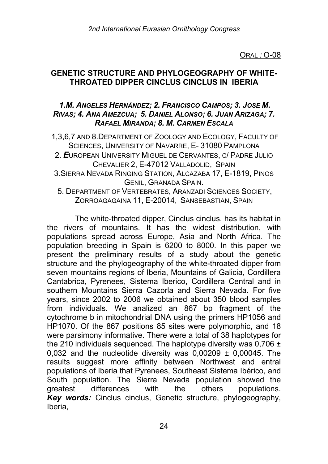ORAL *:* O-08

## **GENETIC STRUCTURE AND PHYLOGEOGRAPHY OF WHITE-THROATED DIPPER CINCLUS CINCLUS IN IBERIA**

## *1.M. ANGELES HERNÁNDEZ; 2. FRANCISCO CAMPOS; 3. JOSE M. RIVAS; 4. ANA AMEZCUA; 5. DANIEL ALONSO; 6. JUAN ARIZAGA; 7. RAFAEL MIRANDA; 8. M. CARMEN ESCALA*

1,3,6,7 AND 8.DEPARTMENT OF ZOOLOGY AND ECOLOGY, FACULTY OF SCIENCES, UNIVERSITY OF NAVARRE, E- 31080 PAMPLONA 2. *E*UROPEAN UNIVERSITY MIGUEL DE CERVANTES, C/ PADRE JULIO CHEVALIER 2, E-47012 VALLADOLID, SPAIN 3.SIERRA NEVADA RINGING STATION, ALCAZABA 17, E-1819, PINOS GENIL, GRANADA SPAIN.

5. DEPARTMENT OF VERTEBRATES, ARANZADI SCIENCES SOCIETY, ZORROAGAGAINA 11, E-20014, SANSEBASTIAN, SPAIN

The white-throated dipper, Cinclus cinclus, has its habitat in the rivers of mountains. It has the widest distribution, with populations spread across Europe, Asia and North Africa. The population breeding in Spain is 6200 to 8000. In this paper we present the preliminary results of a study about the genetic structure and the phylogeography of the white-throated dipper from seven mountains regions of Iberia, Mountains of Galicia, Cordillera Cantabrica, Pyrenees, Sistema Iberico, Cordillera Central and in southern Mountains Sierra Cazorla and Sierra Nevada. For five years, since 2002 to 2006 we obtained about 350 blood samples from individuals. We analized an 867 bp fragment of the cytochrome b in mitochondrial DNA using the primers HP1056 and HP1070. Of the 867 positions 85 sites were polymorphic, and 18 were parsimony informative. There were a total of 38 haplotypes for the 210 individuals sequenced. The haplotype diversity was  $0.706 \pm 1$ 0,032 and the nucleotide diversity was  $0,00209 \pm 0,00045$ . The results suggest more affinity between Northwest and entral populations of Iberia that Pyrenees, Southeast Sistema Ibérico, and South population. The Sierra Nevada population showed the greatest differences with the others populations. *Key words:* Cinclus cinclus, Genetic structure, phylogeography, Iberia,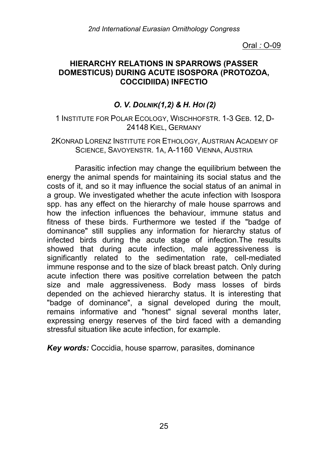## **HIERARCHY RELATIONS IN SPARROWS (PASSER DOMESTICUS) DURING ACUTE ISOSPORA (PROTOZOA, COCCIDIIDA) INFECTIO**

# *O. V. DOLNIK(1,2) & H. HOI (2)*

## 1 INSTITUTE FOR POLAR ECOLOGY, WISCHHOFSTR. 1-3 GEB. 12, D-24148 KIEL, GERMANY

### 2KONRAD LORENZ INSTITUTE FOR ETHOLOGY, AUSTRIAN ACADEMY OF SCIENCE, SAVOYENSTR. 1A, A-1160 VIENNA, AUSTRIA

Parasitic infection may change the equilibrium between the energy the animal spends for maintaining its social status and the costs of it, and so it may influence the social status of an animal in a group. We investigated whether the acute infection with Isospora spp. has any effect on the hierarchy of male house sparrows and how the infection influences the behaviour, immune status and fitness of these birds. Furthermore we tested if the "badge of dominance" still supplies any information for hierarchy status of infected birds during the acute stage of infection.The results showed that during acute infection, male aggressiveness is significantly related to the sedimentation rate, cell-mediated immune response and to the size of black breast patch. Only during acute infection there was positive correlation between the patch size and male aggressiveness. Body mass losses of birds depended on the achieved hierarchy status. It is interesting that "badge of dominance", a signal developed during the moult, remains informative and "honest" signal several months later, expressing energy reserves of the bird faced with a demanding stressful situation like acute infection, for example.

*Key words:* Coccidia, house sparrow, parasites, dominance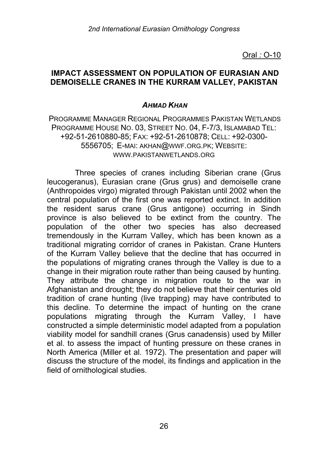## **IMPACT ASSESSMENT ON POPULATION OF EURASIAN AND DEMOISELLE CRANES IN THE KURRAM VALLEY, PAKISTAN**

# *AHMAD KHAN*

PROGRAMME MANAGER REGIONAL PROGRAMMES PAKISTAN WETLANDS PROGRAMME HOUSE NO. 03, STREET NO. 04, F-7/3, ISLAMABAD TEL: +92-51-2610880-85; FAX: +92-51-2610878; CELL: +92-0300- 5556705; E-MAI: AKHAN@WWF.ORG.PK; WEBSITE: WWW.PAKISTANWFTI ANDS.ORG

Three species of cranes including Siberian crane (Grus leucogeranus), Eurasian crane (Grus grus) and demoiselle crane (Anthropoides virgo) migrated through Pakistan until 2002 when the central population of the first one was reported extinct. In addition the resident sarus crane (Grus antigone) occurring in Sindh province is also believed to be extinct from the country. The population of the other two species has also decreased tremendously in the Kurram Valley, which has been known as a traditional migrating corridor of cranes in Pakistan. Crane Hunters of the Kurram Valley believe that the decline that has occurred in the populations of migrating cranes through the Valley is due to a change in their migration route rather than being caused by hunting. They attribute the change in migration route to the war in Afghanistan and drought; they do not believe that their centuries old tradition of crane hunting (live trapping) may have contributed to this decline. To determine the impact of hunting on the crane populations migrating through the Kurram Valley, I have constructed a simple deterministic model adapted from a population viability model for sandhill cranes (Grus canadensis) used by Miller et al. to assess the impact of hunting pressure on these cranes in North America (Miller et al. 1972). The presentation and paper will discuss the structure of the model, its findings and application in the field of ornithological studies.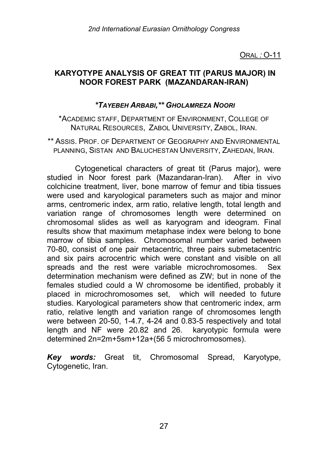ORAL *:* O-11

## **KARYOTYPE ANALYSIS OF GREAT TIT (PARUS MAJOR) IN NOOR FOREST PARK (MAZANDARAN-IRAN)**

## *\*TAYEBEH ARBABI,\*\* GHOLAMREZA NOORI*

\*ACADEMIC STAFF, DEPARTMENT OF ENVIRONMENT, COLLEGE OF NATURAL RESOURCES, ZABOL UNIVERSITY, ZABOL, IRAN.

\*\* ASSIS. PROF. OF DEPARTMENT OF GEOGRAPHY AND ENVIRONMENTAL PLANNING, SISTAN AND BALUCHESTAN UNIVERSITY, ZAHEDAN, IRAN.

Cytogenetical characters of great tit (Parus major), were studied in Noor forest park (Mazandaran-Iran). After in vivo colchicine treatment, liver, bone marrow of femur and tibia tissues were used and karyological parameters such as major and minor arms, centromeric index, arm ratio, relative length, total length and variation range of chromosomes length were determined on chromosomal slides as well as karyogram and ideogram. Final results show that maximum metaphase index were belong to bone marrow of tibia samples. Chromosomal number varied between 70-80, consist of one pair metacentric, three pairs submetacentric and six pairs acrocentric which were constant and visible on all spreads and the rest were variable microchromosomes. Sex determination mechanism were defined as ZW; but in none of the females studied could a W chromosome be identified, probably it placed in microchromosomes set, which will needed to future studies. Karyological parameters show that centromeric index, arm ratio, relative length and variation range of chromosomes length were between 20-50, 1-4.7, 4-24 and 0.83-5 respectively and total length and NF were 20.82 and 26. karyotypic formula were determined 2n=2m+5sm+12a+(56 5 microchromosomes).

*Key words:* Great tit, Chromosomal Spread, Karyotype, Cytogenetic, Iran.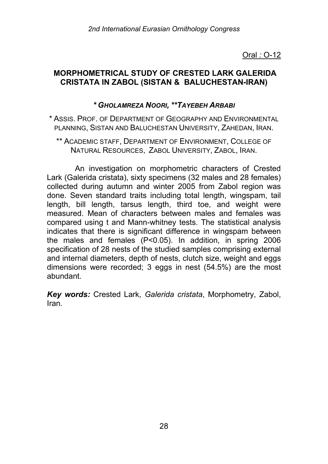# **MORPHOMETRICAL STUDY OF CRESTED LARK GALERIDA CRISTATA IN ZABOL (SISTAN & BALUCHESTAN-IRAN)**

## *\* GHOLAMREZA NOORI, \*\*TAYEBEH ARBABI*

- \* ASSIS. PROF. OF DEPARTMENT OF GEOGRAPHY AND ENVIRONMENTAL PLANNING, SISTAN AND BALUCHESTAN UNIVERSITY, ZAHEDAN, IRAN.
	- \*\* ACADEMIC STAFF, DEPARTMENT OF ENVIRONMENT, COLLEGE OF NATURAL RESOURCES, ZABOL UNIVERSITY, ZABOL, IRAN.

An investigation on morphometric characters of Crested Lark (Galerida cristata), sixty specimens (32 males and 28 females) collected during autumn and winter 2005 from Zabol region was done. Seven standard traits including total length, wingspam, tail length, bill length, tarsus length, third toe, and weight were measured. Mean of characters between males and females was compared using t and Mann-whitney tests. The statistical analysis indicates that there is significant difference in wingspam between the males and females (P<0.05). In addition, in spring 2006 specification of 28 nests of the studied samples comprising external and internal diameters, depth of nests, clutch size, weight and eggs dimensions were recorded; 3 eggs in nest (54.5%) are the most abundant.

*Key words:* Crested Lark, *Galerida cristata*, Morphometry, Zabol, Iran.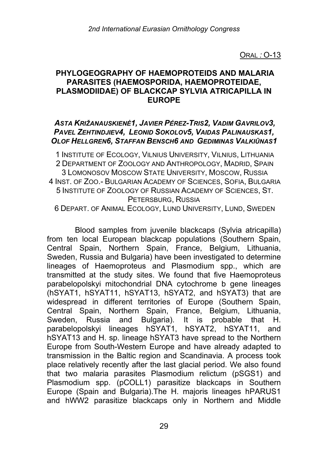ORAL *:* O-13

## **PHYLOGEOGRAPHY OF HAEMOPROTEIDS AND MALARIA PARASITES (HAEMOSPORIDA, HAEMOPROTEIDAE, PLASMODIIDAE) OF BLACKCAP SYLVIA ATRICAPILLA IN EUROPE**

# *ASTA KRIŽANAUSKIENĖ1, JAVIER PÉREZ-TRIS2, VADIM GAVRILOV3, PAVEL ZEHTINDJIEV4, LEONID SOKOLOV5, VAIDAS PALINAUSKAS1, OLOF HELLGREN6, STAFFAN BENSCH6 AND GEDIMINAS VALKIŪNAS1*

 INSTITUTE OF ECOLOGY, VILNIUS UNIVERSITY, VILNIUS, LITHUANIA DEPARTMENT OF ZOOLOGY AND ANTHROPOLOGY, MADRID, SPAIN LOMONOSOV MOSCOW STATE UNIVERSITY, MOSCOW, RUSSIA INST. OF ZOO.- BULGARIAN ACADEMY OF SCIENCES, SOFIA, BULGARIA INSTITUTE OF ZOOLOGY OF RUSSIAN ACADEMY OF SCIENCES, ST. PETERSBURG, RUSSIA

6 DEPART. OF ANIMAL ECOLOGY, LUND UNIVERSITY, LUND, SWEDEN

Blood samples from juvenile blackcaps (Sylvia atricapilla) from ten local European blackcap populations (Southern Spain, Central Spain, Northern Spain, France, Belgium, Lithuania, Sweden, Russia and Bulgaria) have been investigated to determine lineages of Haemoproteus and Plasmodium spp., which are transmitted at the study sites. We found that five Haemoproteus parabelopolskyi mitochondrial DNA cytochrome b gene lineages (hSYAT1, hSYAT11, hSYAT13, hSYAT2, and hSYAT3) that are widespread in different territories of Europe (Southern Spain, Central Spain, Northern Spain, France, Belgium, Lithuania, Sweden, Russia and Bulgaria). It is probable that H. parabelopolskyi lineages hSYAT1, hSYAT2, hSYAT11, and hSYAT13 and H. sp. lineage hSYAT3 have spread to the Northern Europe from South-Western Europe and have already adapted to transmission in the Baltic region and Scandinavia. A process took place relatively recently after the last glacial period. We also found that two malaria parasites Plasmodium relictum (pSGS1) and Plasmodium spp. (pCOLL1) parasitize blackcaps in Southern Europe (Spain and Bulgaria).The H. majoris lineages hPARUS1 and hWW2 parasitize blackcaps only in Northern and Middle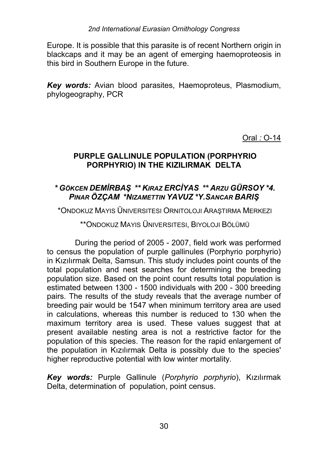Europe. It is possible that this parasite is of recent Northern origin in blackcaps and it may be an agent of emerging haemoproteosis in this bird in Southern Europe in the future.

*Key words:* Avian blood parasites, Haemoproteus, Plasmodium, phylogeography, PCR

Oral *:* O-14

# **PURPLE GALLINULE POPULATION (PORPHYRIO PORPHYRIO) IN THE KIZILIRMAK DELTA**

# *\* GÖKCEN DEMİRBAŞ \*\* KIRAZ ERCİYAS \*\* ARZU GÜRSOY \*4. PINAR ÖZÇAM \*NIZAMETTIN YAVUZ \*Y.SANCAR BARIŞ*

\*ONDOKUZ MAYIS ÜNIVERSITESI ORNITOLOJI ARAŞTIRMA MERKEZI

\*\*ONDOKUZ MAYIS ÜNIVERSITESI, BIYOLOJI BÖLÜMÜ

During the period of 2005 - 2007, field work was performed to census the population of purple gallinules (Porphyrio porphyrio) in Kızılırmak Delta, Samsun. This study includes point counts of the total population and nest searches for determining the breeding population size. Based on the point count results total population is estimated between 1300 - 1500 individuals with 200 - 300 breeding pairs. The results of the study reveals that the average number of breeding pair would be 1547 when minimum territory area are used in calculations, whereas this number is reduced to 130 when the maximum territory area is used. These values suggest that at present available nesting area is not a restrictive factor for the population of this species. The reason for the rapid enlargement of the population in Kızılırmak Delta is possibly due to the species' higher reproductive potential with low winter mortality.

*Key words:* Purple Gallinule (*Porphyrio porphyrio*), Kızılırmak Delta, determination of population, point census.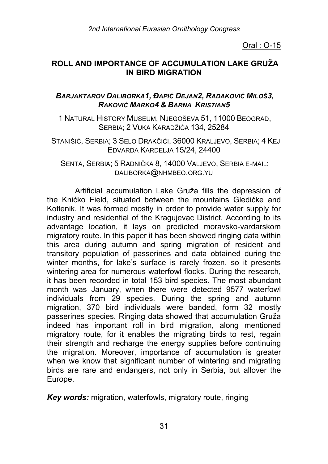# **ROLL AND IMPORTANCE OF ACCUMULATION LAKE GRUŽA IN BIRD MIGRATION**

## *BARJAKTAROV DALIBORKA1, ĐAPIĆ DEJAN2, RADAKOVIĆ MILOŠ3, RAKOVIĆ MARKO4 & BARNA KRISTIAN5*

1 NATURAL HISTORY MUSEUM, NJEGOŠEVA 51, 11000 BEOGRAD, SERBIA; 2 VUKA KARADŽIĆA 134, 25284

 STANIŠIĆ, SERBIA; 3 SELO DRAKČIĆI, 36000 KRALJEVO, SERBIA; 4 KEJ EDVARDA KARDELJA 15/24, 24400

SENTA, SERBIA; 5 RADNIČKA 8, 14000 VALJEVO, SERBIA E-MAIL: DALIBORKA@NHMBEO.ORG.YU

Artificial accumulation Lake Gruža fills the depression of the Knićko Field, situated between the mountains Gledićke and Kotlenik. It was formed mostly in order to provide water supply for industry and residential of the Kragujevac District. According to its advantage location, it lays on predicted moravsko-vardarskom migratory route. In this paper it has been showed ringing data within this area during autumn and spring migration of resident and transitory population of passerines and data obtained during the winter months, for lake's surface is rarely frozen, so it presents wintering area for numerous waterfowl flocks. During the research, it has been recorded in total 153 bird species. The most abundant month was January, when there were detected 9577 waterfowl individuals from 29 species. During the spring and autumn migration, 370 bird individuals were banded, form 32 mostly passerines species. Ringing data showed that accumulation Gruža indeed has important roll in bird migration, along mentioned migratory route, for it enables the migrating birds to rest, regain their strength and recharge the energy supplies before continuing the migration. Moreover, importance of accumulation is greater when we know that significant number of wintering and migrating birds are rare and endangers, not only in Serbia, but allover the Europe.

*Key words:* migration, waterfowls, migratory route, ringing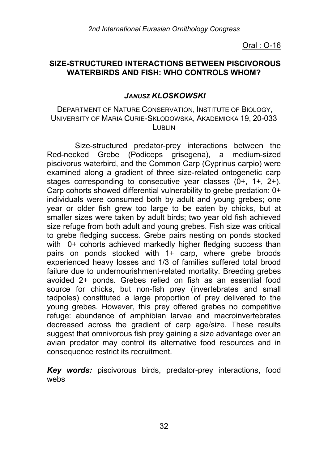## **SIZE-STRUCTURED INTERACTIONS BETWEEN PISCIVOROUS WATERBIRDS AND FISH: WHO CONTROLS WHOM?**

# *JANUSZ KLOSKOWSKI*

## DEPARTMENT OF NATURE CONSERVATION, INSTITUTE OF BIOLOGY, UNIVERSITY OF MARIA CURIE-SKLODOWSKA, AKADEMICKA 19, 20-033 LUBLIN

Size-structured predator-prey interactions between the Red-necked Grebe (Podiceps grisegena), a medium-sized piscivorus waterbird, and the Common Carp (Cyprinus carpio) were examined along a gradient of three size-related ontogenetic carp stages corresponding to consecutive year classes (0+, 1+, 2+). Carp cohorts showed differential vulnerability to grebe predation: 0+ individuals were consumed both by adult and young grebes; one year or older fish grew too large to be eaten by chicks, but at smaller sizes were taken by adult birds; two year old fish achieved size refuge from both adult and young grebes. Fish size was critical to grebe fledging success. Grebe pairs nesting on ponds stocked with 0+ cohorts achieved markedly higher fledging success than pairs on ponds stocked with 1+ carp, where grebe broods experienced heavy losses and 1/3 of families suffered total brood failure due to undernourishment-related mortality. Breeding grebes avoided 2+ ponds. Grebes relied on fish as an essential food source for chicks, but non-fish prey (invertebrates and small tadpoles) constituted a large proportion of prey delivered to the young grebes. However, this prey offered grebes no competitive refuge: abundance of amphibian larvae and macroinvertebrates decreased across the gradient of carp age/size. These results suggest that omnivorous fish prey gaining a size advantage over an avian predator may control its alternative food resources and in consequence restrict its recruitment.

*Key words:* piscivorous birds, predator-prey interactions, food webs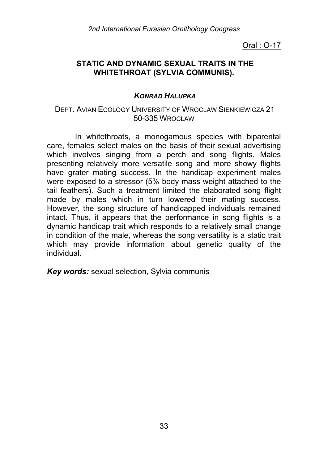# **STATIC AND DYNAMIC SEXUAL TRAITS IN THE WHITETHROAT (SYLVIA COMMUNIS).**

# *KONRAD HALUPKA*

## DEPT. AVIAN ECOLOGY UNIVERSITY OF WROCLAW SIENKIEWICZA 21 50-335 WROCLAW

In whitethroats, a monogamous species with biparental care, females select males on the basis of their sexual advertising which involves singing from a perch and song flights. Males presenting relatively more versatile song and more showy flights have grater mating success. In the handicap experiment males were exposed to a stressor (5% body mass weight attached to the tail feathers). Such a treatment limited the elaborated song flight made by males which in turn lowered their mating success. However, the song structure of handicapped individuals remained intact. Thus, it appears that the performance in song flights is a dynamic handicap trait which responds to a relatively small change in condition of the male, whereas the song versatility is a static trait which may provide information about genetic quality of the individual.

*Key words:* sexual selection, Sylvia communis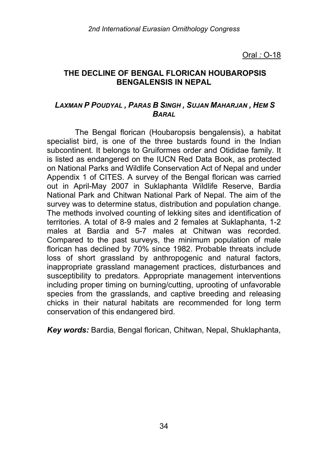## **THE DECLINE OF BENGAL FLORICAN HOUBAROPSIS BENGALENSIS IN NEPAL**

## *LAXMAN P POUDYAL , PARAS B SINGH , SUJAN MAHARJAN , HEM S BARAL*

The Bengal florican (Houbaropsis bengalensis), a habitat specialist bird, is one of the three bustards found in the Indian subcontinent. It belongs to Gruiformes order and Otididae family. It is listed as endangered on the IUCN Red Data Book, as protected on National Parks and Wildlife Conservation Act of Nepal and under Appendix 1 of CITES. A survey of the Bengal florican was carried out in April-May 2007 in Suklaphanta Wildlife Reserve, Bardia National Park and Chitwan National Park of Nepal. The aim of the survey was to determine status, distribution and population change. The methods involved counting of lekking sites and identification of territories. A total of 8-9 males and 2 females at Suklaphanta, 1-2 males at Bardia and 5-7 males at Chitwan was recorded. Compared to the past surveys, the minimum population of male florican has declined by 70% since 1982. Probable threats include loss of short grassland by anthropogenic and natural factors, inappropriate grassland management practices, disturbances and susceptibility to predators. Appropriate management interventions including proper timing on burning/cutting, uprooting of unfavorable species from the grasslands, and captive breeding and releasing chicks in their natural habitats are recommended for long term conservation of this endangered bird.

*Key words:* Bardia, Bengal florican, Chitwan, Nepal, Shuklaphanta,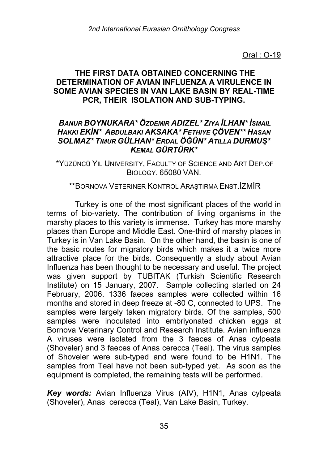# **THE FIRST DATA OBTAINED CONCERNING THE DETERMINATION OF AVIAN INFLUENZA A VIRULENCE IN SOME AVIAN SPECIES IN VAN LAKE BASIN BY REAL-TIME PCR, THEIR ISOLATION AND SUB-TYPING.**

# *BANUR BOYNUKARA\* ÖZDEMIR ADIZEL\* ZIYA İLHAN\* İSMAIL HAKKI EKİN\* ABDULBAKI AKSAKA\* FETHIYE ÇÖVEN\*\* HASAN SOLMAZ\* TIMUR GÜLHAN\* ERDAL ÖĞÜN\* ATILLA DURMUŞ\* KEMAL GÜRTÜRK\**

\*YÜZÜNCÜ YIL UNIVERSITY, FACULTY OF SCIENCE AND ART DEP.OF BIOLOGY. 65080 VAN.

#### \*\*BORNOVA VETERINER KONTROL ARAŞTIRMA ENST.İZMİR

Turkey is one of the most significant places of the world in terms of bio-variety. The contribution of living organisms in the marshy places to this variety is immense. Turkey has more marshy places than Europe and Middle East. One-third of marshy places in Turkey is in Van Lake Basin. On the other hand, the basin is one of the basic routes for migratory birds which makes it a twice more attractive place for the birds. Consequently a study about Avian Influenza has been thought to be necessary and useful. The project was given support by TUBITAK (Turkish Scientific Research Institute) on 15 January, 2007. Sample collecting started on 24 February, 2006. 1336 faeces samples were collected within 16 months and stored in deep freeze at -80 C, connected to UPS. The samples were largely taken migratory birds. Of the samples, 500 samples were inoculated into embriyonated chicken eggs at Bornova Veterinary Control and Research Institute. Avian influenza A viruses were isolated from the 3 faeces of Anas cylpeata (Shoveler) and 3 faeces of Anas cerecca (Teal). The virus samples of Shoveler were sub-typed and were found to be H1N1. The samples from Teal have not been sub-typed yet. As soon as the equipment is completed, the remaining tests will be performed.

*Key words:* Avian Influenza Virus (AIV), H1N1, Anas cylpeata (Shoveler), Anas cerecca (Teal), Van Lake Basin, Turkey.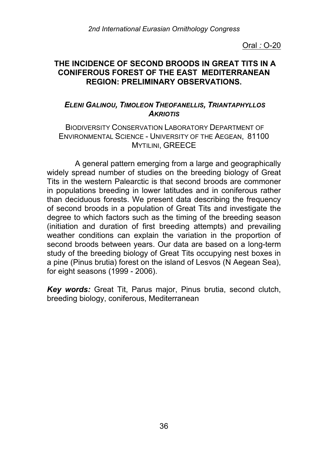### **THE INCIDENCE OF SECOND BROODS IN GREAT TITS IN A CONIFEROUS FOREST OF THE EAST MEDITERRANEAN REGION: PRELIMINARY OBSERVATIONS.**

## *ELENI GALINOU, TIMOLEON THEOFANELLIS, TRIANTAPHYLLOS AKRIOTIS*

#### BIODIVERSITY CONSERVATION LABORATORY DEPARTMENT OF ENVIRONMENTAL SCIENCE - UNIVERSITY OF THE AEGEAN, 81100 **MYTILINI, GREECE**

A general pattern emerging from a large and geographically widely spread number of studies on the breeding biology of Great Tits in the western Palearctic is that second broods are commoner in populations breeding in lower latitudes and in coniferous rather than deciduous forests. We present data describing the frequency of second broods in a population of Great Tits and investigate the degree to which factors such as the timing of the breeding season (initiation and duration of first breeding attempts) and prevailing weather conditions can explain the variation in the proportion of second broods between years. Our data are based on a long-term study of the breeding biology of Great Tits occupying nest boxes in a pine (Pinus brutia) forest on the island of Lesvos (N Aegean Sea), for eight seasons (1999 - 2006).

*Key words:* Great Tit, Parus major, Pinus brutia, second clutch, breeding biology, coniferous, Mediterranean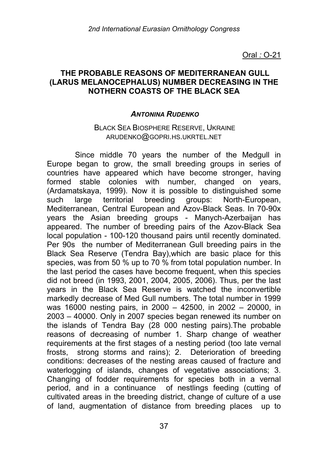#### **THE PROBABLE REASONS OF MEDITERRANEAN GULL (LARUS MELANOCEPHALUS) NUMBER DECREASING IN THE NOTHERN COASTS OF THE BLACK SEA**

#### *ANTONINA RUDENKO*

#### BLACK SEA BIOSPHERE RESERVE, UKRAINE ARUDENKO@GOPRI.HS.UKRTEL.NET

Since middle 70 years the number of the Medgull in Europe began to grow, the small breeding groups in series of countries have appeared which have become stronger, having formed stable colonies with number, changed on years, (Ardamatskaya, 1999). Now it is possible to distinguished some such large territorial breeding groups: North-European, Mediterranean, Central European and Azov-Black Seas. In 70-90х years the Asian breeding groups - Manych-Azerbaijan has appeared. The number of breeding pairs of the Azov-Black Sea local population - 100-120 thousand pairs until recently dominated. Per 90s the number of Mediterranean Gull breeding pairs in the Black Sea Reserve (Tendra Bay),which are basic place for this species, was from 50 % up to 70 % from total population number. In the last period the cases have become frequent, when this species did not breed (in 1993, 2001, 2004, 2005, 2006). Thus, per the last years in the Black Sea Reserve is watched the inconvertible markedly decrease of Med Gull numbers. The total number in 1999 was 16000 nesting pairs, in 2000 – 42500, in 2002 – 20000, in 2003 – 40000. Only in 2007 species began renewed its number on the islands of Tendra Bay (28 000 nesting pairs).The probable reasons of decreasing of number 1. Sharp change of weather requirements at the first stages of a nesting period (too late vernal frosts, strong storms and rains); 2. Deterioration of breeding conditions: decreases of the nesting areas caused of fracture and waterlogging of islands, changes of vegetative associations; 3. Changing of fodder requirements for species both in a vernal period, and in a continuance of nestlings feeding (cutting of cultivated areas in the breeding district, change of culture of a use of land, augmentation of distance from breeding places up to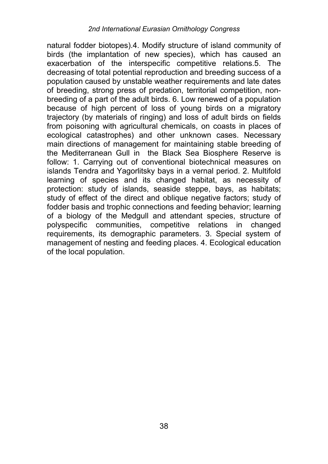natural fodder biotopes).4. Modify structure of island community of birds (the implantation of new species), which has caused an exacerbation of the interspecific competitive relations.5. The decreasing of total potential reproduction and breeding success of a population caused by unstable weather requirements and late dates of breeding, strong press of predation, territorial competition, nonbreeding of a part of the adult birds. 6. Low renewed of a population because of high percent of loss of young birds on a migratory trajectory (by materials of ringing) and loss of adult birds on fields from poisoning with agricultural chemicals, on coasts in places of ecological catastrophes) and other unknown cases. Necessary main directions of management for maintaining stable breeding of the Mediterranean Gull in the Black Sea Biosphere Reserve is follow: 1. Carrying out of conventional biotechnical measures on islands Tendra and Yagorlitsky bays in a vernal period. 2. Multifold learning of species and its changed habitat, as necessity of protection: study of islands, seaside steppe, bays, as habitats; study of effect of the direct and oblique negative factors; study of fodder basis and trophic connections and feeding behavior; learning of a biology of the Medgull and attendant species, structure of polyspecific communities, competitive relations in changed requirements, its demographic parameters. 3. Special system of management of nesting and feeding places. 4. Ecological education of the local population.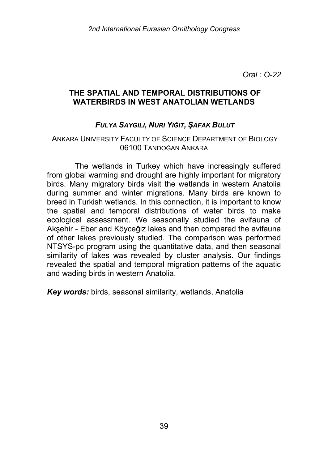## **THE SPATIAL AND TEMPORAL DISTRIBUTIONS OF WATERBIRDS IN WEST ANATOLIAN WETLANDS**

### *FULYA SAYGILI, NURI YIĞIT, ŞAFAK BULUT*

#### ANKARA UNIVERSITY FACULTY OF SCIENCE DEPARTMENT OF BIOLOGY 06100 TANDOĞAN ANKARA

The wetlands in Turkey which have increasingly suffered from global warming and drought are highly important for migratory birds. Many migratory birds visit the wetlands in western Anatolia during summer and winter migrations. Many birds are known to breed in Turkish wetlands. In this connection, it is important to know the spatial and temporal distributions of water birds to make ecological assessment. We seasonally studied the avifauna of Akşehir - Eber and Köyceğiz lakes and then compared the avifauna of other lakes previously studied. The comparison was performed NTSYS-pc program using the quantitative data, and then seasonal similarity of lakes was revealed by cluster analysis. Our findings revealed the spatial and temporal migration patterns of the aquatic and wading birds in western Anatolia.

*Key words:* birds, seasonal similarity, wetlands, Anatolia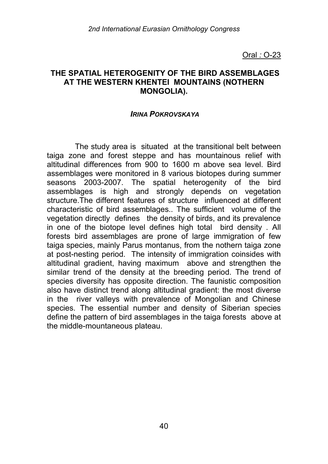#### **THE SPATIAL HETEROGENITY OF THE BIRD ASSEMBLAGES AT THE WESTERN KHENTEI MOUNTAINS (NOTHERN MONGOLIA).**

#### *IRINA POKROVSKAYA*

The study area is situated at the transitional belt between taiga zone and forest steppe and has mountainous relief with altitudinal differences from 900 to 1600 m above sea level. Bird assemblages were monitored in 8 various biotopes during summer seasons 2003-2007. The spatial heterogenity of the bird assemblages is high and strongly depends on vegetation structure.The different features of structure influenced at different characteristic of bird assemblages.. The sufficient volume of the vegetation directly defines the density of birds, and its prevalence in one of the biotope level defines high total bird density . All forests bird assemblages are prone of large immigration of few taiga species, mainly Parus montanus, from the nothern taiga zone at post-nesting period. The intensity of immigration coinsides with altitudinal gradient, having maximum above and strengthen the similar trend of the density at the breeding period. The trend of species diversity has opposite direction. The faunistic composition also have distinct trend along altitudinal gradient: the most diverse in the river valleys with prevalence of Mongolian and Chinese species. The essential number and density of Siberian species define the pattern of bird assemblages in the taiga forests above at the middle-mountaneous plateau.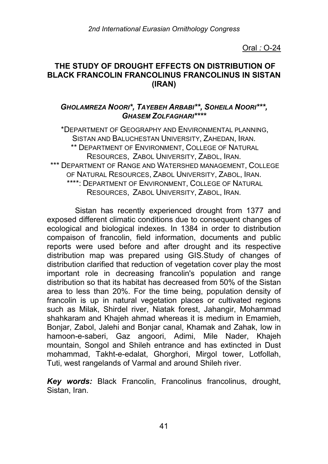## **THE STUDY OF DROUGHT EFFECTS ON DISTRIBUTION OF BLACK FRANCOLIN FRANCOLINUS FRANCOLINUS IN SISTAN (IRAN)**

## *GHOLAMREZA NOORI\*, TAYEBEH ARBABI\*\*, SOHEILA NOORI\*\*\*, GHASEM ZOLFAGHARI\*\*\*\**

\*DEPARTMENT OF GEOGRAPHY AND ENVIRONMENTAL PLANNING, SISTAN AND BALUCHESTAN UNIVERSITY, ZAHEDAN, IRAN. \*\* DEPARTMENT OF ENVIRONMENT, COLLEGE OF NATURAL RESOURCES, ZABOL UNIVERSITY, ZABOL, IRAN. \*\*\* DEPARTMENT OF RANGE AND WATERSHED MANAGEMENT, COLLEGE OF NATURAL RESOURCES, ZABOL UNIVERSITY, ZABOL, IRAN. \*\*\*\*: DEPARTMENT OF ENVIRONMENT, COLLEGE OF NATURAL RESOURCES, ZABOL UNIVERSITY, ZABOL, IRAN.

Sistan has recently experienced drought from 1377 and exposed different climatic conditions due to consequent changes of ecological and biological indexes. In 1384 in order to distribution compaison of francolin, field information, documents and public reports were used before and after drought and its respective distribution map was prepared using GIS.Study of changes of distribution clarified that reduction of vegetation cover play the most important role in decreasing francolin's population and range distribution so that its habitat has decreased from 50% of the Sistan area to less than 20%. For the time being, population density of francolin is up in natural vegetation places or cultivated regions such as Milak, Shirdel river, Niatak forest, Jahangir, Mohammad shahkaram and Khajeh ahmad whereas it is medium in Emamieh, Bonjar, Zabol, Jalehi and Bonjar canal, Khamak and Zahak, low in hamoon-e-saberi, Gaz angoori, Adimi, Mile Nader, Khajeh mountain, Songol and Shileh entrance and has extincted in Dust mohammad, Takht-e-edalat, Ghorghori, Mirgol tower, Lotfollah, Tuti, west rangelands of Varmal and around Shileh river.

*Key words:* Black Francolin, Francolinus francolinus, drought, Sistan, Iran.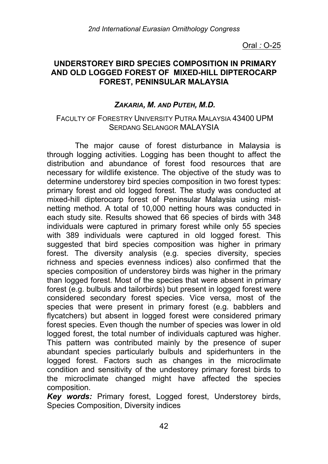### **UNDERSTOREY BIRD SPECIES COMPOSITION IN PRIMARY AND OLD LOGGED FOREST OF MIXED-HILL DIPTEROCARP FOREST, PENINSULAR MALAYSIA**

## *ZAKARIA, M. AND PUTEH, M.D.*

#### FACULTY OF FORESTRY UNIVERSITY PUTRA MALAYSIA 43400 UPM SERDANG SELANGOR MALAYSIA

The major cause of forest disturbance in Malaysia is through logging activities. Logging has been thought to affect the distribution and abundance of forest food resources that are necessary for wildlife existence. The objective of the study was to determine understorey bird species composition in two forest types: primary forest and old logged forest. The study was conducted at mixed-hill dipterocarp forest of Peninsular Malaysia using mistnetting method. A total of 10,000 netting hours was conducted in each study site. Results showed that 66 species of birds with 348 individuals were captured in primary forest while only 55 species with 389 individuals were captured in old logged forest. This suggested that bird species composition was higher in primary forest. The diversity analysis (e.g. species diversity, species richness and species evenness indices) also confirmed that the species composition of understorey birds was higher in the primary than logged forest. Most of the species that were absent in primary forest (e.g. bulbuls and tailorbirds) but present in logged forest were considered secondary forest species. Vice versa, most of the species that were present in primary forest (e.g. babblers and flycatchers) but absent in logged forest were considered primary forest species. Even though the number of species was lower in old logged forest, the total number of individuals captured was higher. This pattern was contributed mainly by the presence of super abundant species particularly bulbuls and spiderhunters in the logged forest. Factors such as changes in the microclimate condition and sensitivity of the undestorey primary forest birds to the microclimate changed might have affected the species composition.

*Key words:* Primary forest, Logged forest, Understorey birds, Species Composition, Diversity indices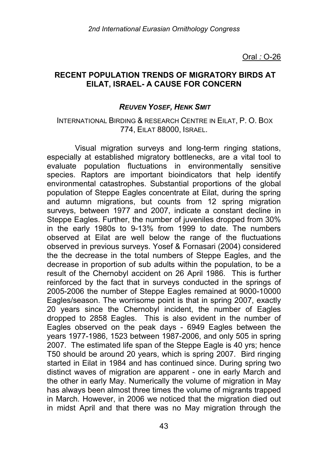### **RECENT POPULATION TRENDS OF MIGRATORY BIRDS AT EILAT, ISRAEL- A CAUSE FOR CONCERN**

#### *REUVEN YOSEF, HENK SMIT*

#### INTERNATIONAL BIRDING & RESEARCH CENTRE IN EILAT, P. O. BOX 774, EILAT 88000, ISRAEL.

Visual migration surveys and long-term ringing stations, especially at established migratory bottlenecks, are a vital tool to evaluate population fluctuations in environmentally sensitive species. Raptors are important bioindicators that help identify environmental catastrophes. Substantial proportions of the global population of Steppe Eagles concentrate at Eilat, during the spring and autumn migrations, but counts from 12 spring migration surveys, between 1977 and 2007, indicate a constant decline in Steppe Eagles. Further, the number of juveniles dropped from 30% in the early 1980s to 9-13% from 1999 to date. The numbers observed at Eilat are well below the range of the fluctuations observed in previous surveys. Yosef & Fornasari (2004) considered the the decrease in the total numbers of Steppe Eagles, and the decrease in proportion of sub adults within the population, to be a result of the Chernobyl accident on 26 April 1986. This is further reinforced by the fact that in surveys conducted in the springs of 2005-2006 the number of Steppe Eagles remained at 9000-10000 Eagles/season. The worrisome point is that in spring 2007, exactly 20 years since the Chernobyl incident, the number of Eagles dropped to 2858 Eagles. This is also evident in the number of Eagles observed on the peak days - 6949 Eagles between the years 1977-1986, 1523 between 1987-2006, and only 505 in spring 2007. The estimated life span of the Steppe Eagle is 40 yrs; hence T50 should be around 20 years, which is spring 2007. Bird ringing started in Eilat in 1984 and has continued since. During spring two distinct waves of migration are apparent - one in early March and the other in early May. Numerically the volume of migration in May has always been almost three times the volume of migrants trapped in March. However, in 2006 we noticed that the migration died out in midst April and that there was no May migration through the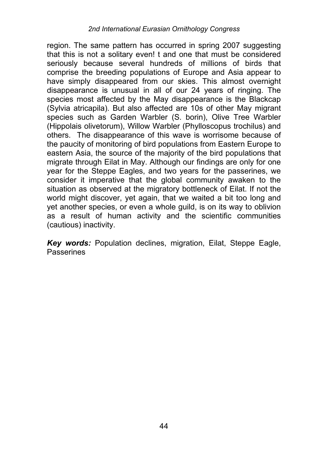region. The same pattern has occurred in spring 2007 suggesting that this is not a solitary even! t and one that must be considered seriously because several hundreds of millions of birds that comprise the breeding populations of Europe and Asia appear to have simply disappeared from our skies. This almost overnight disappearance is unusual in all of our 24 years of ringing. The species most affected by the May disappearance is the Blackcap (Sylvia atricapila). But also affected are 10s of other May migrant species such as Garden Warbler (S. borin), Olive Tree Warbler (Hippolais olivetorum), Willow Warbler (Phylloscopus trochilus) and others. The disappearance of this wave is worrisome because of the paucity of monitoring of bird populations from Eastern Europe to eastern Asia, the source of the majority of the bird populations that migrate through Eilat in May. Although our findings are only for one year for the Steppe Eagles, and two years for the passerines, we consider it imperative that the global community awaken to the situation as observed at the migratory bottleneck of Eilat. If not the world might discover, yet again, that we waited a bit too long and yet another species, or even a whole guild, is on its way to oblivion as a result of human activity and the scientific communities (cautious) inactivity.

*Key words:* Population declines, migration, Eilat, Steppe Eagle, **Passerines**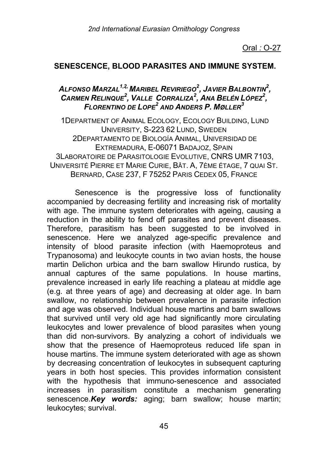#### **SENESCENCE, BLOOD PARASITES AND IMMUNE SYSTEM.**

## *ALFONSO MARZAL1,2, MARIBEL REVIRIEGO2 , JAVIER BALBONTIN2 , CARMEN RELINQUE<sup>2</sup> , VALLE CORRALIZA<sup>2</sup> , ANA BELÉN LÓPEZ2 , FLORENTINO DE LOPE<sup>2</sup> AND ANDERS P. MØLLER3*

1DEPARTMENT OF ANIMAL ECOLOGY, ECOLOGY BUILDING, LUND UNIVERSITY, S-223 62 LUND, SWEDEN 2DEPARTAMENTO DE BIOLOGÍA ANIMAL, UNIVERSIDAD DE EXTREMADURA, E-06071 BADAJOZ, SPAIN 3LABORATOIRE DE PARASITOLOGIE EVOLUTIVE, CNRS UMR 7103, UNIVERSITÉ PIERRE ET MARIE CURIE, BÂT. A, 7ÈME ÉTAGE, 7 QUAI ST. BERNARD, CASE 237, F 75252 PARIS CEDEX 05, FRANCE

Senescence is the progressive loss of functionality accompanied by decreasing fertility and increasing risk of mortality with age. The immune system deteriorates with ageing, causing a reduction in the ability to fend off parasites and prevent diseases. Therefore, parasitism has been suggested to be involved in senescence. Here we analyzed age-specific prevalence and intensity of blood parasite infection (with Haemoproteus and Trypanosoma) and leukocyte counts in two avian hosts, the house martin Delichon urbica and the barn swallow Hirundo rustica, by annual captures of the same populations. In house martins, prevalence increased in early life reaching a plateau at middle age (e.g. at three years of age) and decreasing at older age. In barn swallow, no relationship between prevalence in parasite infection and age was observed. Individual house martins and barn swallows that survived until very old age had significantly more circulating leukocytes and lower prevalence of blood parasites when young than did non-survivors. By analyzing a cohort of individuals we show that the presence of Haemoproteus reduced life span in house martins. The immune system deteriorated with age as shown by decreasing concentration of leukocytes in subsequent capturing years in both host species. This provides information consistent with the hypothesis that immuno-senescence and associated increases in parasitism constitute a mechanism generating senescence.*Key words:* aging; barn swallow; house martin; leukocytes; survival.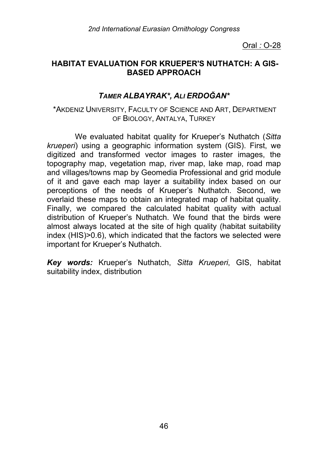## **HABITAT EVALUATION FOR KRUEPER'S NUTHATCH: A GIS-BASED APPROACH**

# *TAMER ALBAYRAK\*, ALI ERDOĞAN\**

#### \*AKDENIZ UNIVERSITY, FACULTY OF SCIENCE AND ART, DEPARTMENT OF BIOLOGY, ANTALYA, TURKEY

We evaluated habitat quality for Krueper's Nuthatch (*Sitta krueperi*) using a geographic information system (GIS). First, we digitized and transformed vector images to raster images, the topography map, vegetation map, river map, lake map, road map and villages/towns map by Geomedia Professional and grid module of it and gave each map layer a suitability index based on our perceptions of the needs of Krueper's Nuthatch. Second, we overlaid these maps to obtain an integrated map of habitat quality. Finally, we compared the calculated habitat quality with actual distribution of Krueper's Nuthatch. We found that the birds were almost always located at the site of high quality (habitat suitability index (HIS)>0.6), which indicated that the factors we selected were important for Krueper's Nuthatch.

*Key words:* Krueper's Nuthatch, *Sitta Krueperi*, GIS, habitat suitability index, distribution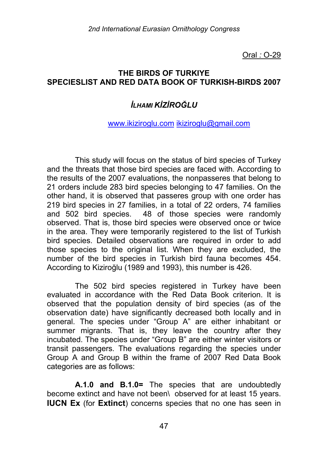## **THE BIRDS OF TURKIYE SPECIESLIST AND RED DATA BOOK OF TURKISH-BIRDS 2007**

# *İLHAMI KİZİROĞLU*

#### www.ikiziroglu.com ikiziroglu@gmail.com

This study will focus on the status of bird species of Turkey and the threats that those bird species are faced with. According to the results of the 2007 evaluations, the nonpasseres that belong to 21 orders include 283 bird species belonging to 47 families. On the other hand, it is observed that passeres group with one order has 219 bird species in 27 families, in a total of 22 orders, 74 families and 502 bird species. 48 of those species were randomly observed. That is, those bird species were observed once or twice in the area. They were temporarily registered to the list of Turkish bird species. Detailed observations are required in order to add those species to the original list. When they are excluded, the number of the bird species in Turkish bird fauna becomes 454. According to Kiziroğlu (1989 and 1993), this number is 426.

The 502 bird species registered in Turkey have been evaluated in accordance with the Red Data Book criterion. It is observed that the population density of bird species (as of the observation date) have significantly decreased both locally and in general. The species under "Group A" are either inhabitant or summer migrants. That is, they leave the country after they incubated. The species under "Group B" are either winter visitors or transit passengers. The evaluations regarding the species under Group A and Group B within the frame of 2007 Red Data Book categories are as follows:

**A.1.0 and B.1.0=** The species that are undoubtedly become extinct and have not been\ observed for at least 15 years. **IUCN Ex** (for **Extinct**) concerns species that no one has seen in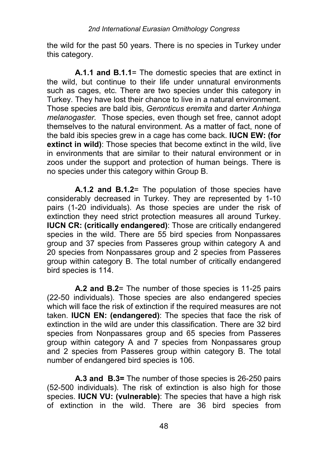the wild for the past 50 years. There is no species in Turkey under this category.

**A.1.1 and B.1.1**= The domestic species that are extinct in the wild, but continue to their life under unnatural environments such as cages, etc. There are two species under this category in Turkey. They have lost their chance to live in a natural environment. Those species are bald ibis, *Geronticus eremita* and darter *Anhinga melanogaster.* Those species, even though set free, cannot adopt themselves to the natural environment. As a matter of fact, none of the bald ibis species grew in a cage has come back. **IUCN EW: (for extinct in wild)**: Those species that become extinct in the wild, live in environments that are similar to their natural environment or in zoos under the support and protection of human beings. There is no species under this category within Group B.

**A.1.2 and B.1.2**= The population of those species have considerably decreased in Turkey. They are represented by 1-10 pairs (1-20 individuals). As those species are under the risk of extinction they need strict protection measures all around Turkey. **IUCN CR: (critically endangered)**: Those are critically endangered species in the wild. There are 55 bird species from Nonpassares group and 37 species from Passeres group within category A and 20 species from Nonpassares group and 2 species from Passeres group within category B. The total number of critically endangered bird species is 114.

**A.2 and B.2**= The number of those species is 11-25 pairs (22-50 individuals). Those species are also endangered species which will face the risk of extinction if the required measures are not taken. **IUCN EN: (endangered)**: The species that face the risk of extinction in the wild are under this classification. There are 32 bird species from Nonpassares group and 65 species from Passeres group within category A and 7 species from Nonpassares group and 2 species from Passeres group within category B. The total number of endangered bird species is 106.

**A.3 and B.3=** The number of those species is 26-250 pairs (52-500 individuals). The risk of extinction is also high for those species. **IUCN VU: (vulnerable)**: The species that have a high risk of extinction in the wild. There are 36 bird species from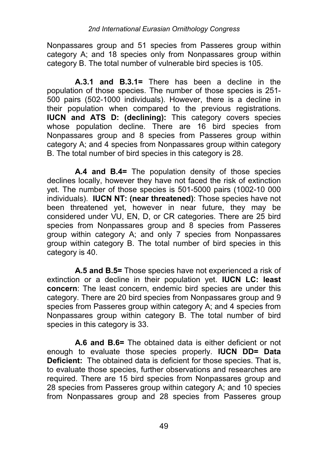Nonpassares group and 51 species from Passeres group within category A; and 18 species only from Nonpassares group within category B. The total number of vulnerable bird species is 105.

**A.3.1 and B.3.1=** There has been a decline in the population of those species. The number of those species is 251- 500 pairs (502-1000 individuals). However, there is a decline in their population when compared to the previous registrations. **IUCN and ATS D: (declining):** This category covers species whose population decline. There are 16 bird species from Nonpassares group and 8 species from Passeres group within category A; and 4 species from Nonpassares group within category B. The total number of bird species in this category is 28.

**A.4 and B.4=** The population density of those species declines locally, however they have not faced the risk of extinction yet. The number of those species is 501-5000 pairs (1002-10 000 individuals). **IUCN NT: (near threatened)**: Those species have not been threatened yet, however in near future, they may be considered under VU, EN, D, or CR categories. There are 25 bird species from Nonpassares group and 8 species from Passeres group within category A; and only 7 species from Nonpassares group within category B. The total number of bird species in this category is 40.

**A.5 and B.5=** Those species have not experienced a risk of extinction or a decline in their population yet. **IUCN LC: least concern**: The least concern, endemic bird species are under this category. There are 20 bird species from Nonpassares group and 9 species from Passeres group within category A; and 4 species from Nonpassares group within category B. The total number of bird species in this category is 33.

**A.6 and B.6=** The obtained data is either deficient or not enough to evaluate those species properly. **IUCN DD= Data Deficient:** The obtained data is deficient for those species. That is, to evaluate those species, further observations and researches are required. There are 15 bird species from Nonpassares group and 28 species from Passeres group within category A; and 10 species from Nonpassares group and 28 species from Passeres group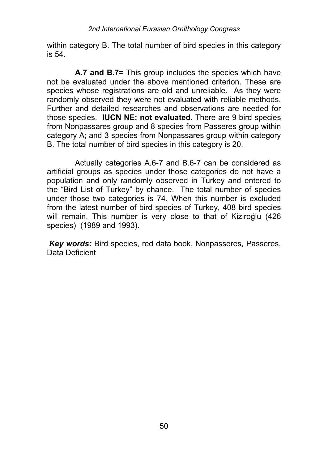within category B. The total number of bird species in this category is 54.

**A.7 and B.7=** This group includes the species which have not be evaluated under the above mentioned criterion. These are species whose registrations are old and unreliable. As they were randomly observed they were not evaluated with reliable methods. Further and detailed researches and observations are needed for those species. **IUCN NE: not evaluated.** There are 9 bird species from Nonpassares group and 8 species from Passeres group within category A; and 3 species from Nonpassares group within category B. The total number of bird species in this category is 20.

Actually categories A.6-7 and B.6-7 can be considered as artificial groups as species under those categories do not have a population and only randomly observed in Turkey and entered to the "Bird List of Turkey" by chance. The total number of species under those two categories is 74. When this number is excluded from the latest number of bird species of Turkey, 408 bird species will remain. This number is very close to that of Kiziroğlu (426 species) (1989 and 1993).

*Key words:* Bird species, red data book, Nonpasseres, Passeres, Data Deficient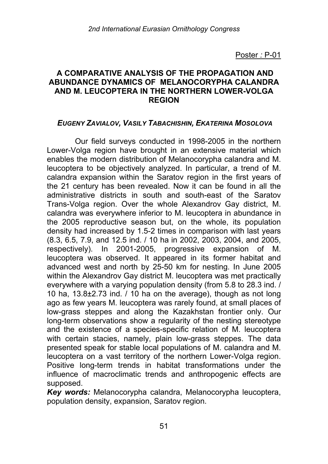### **A COMPARATIVE ANALYSIS OF THE PROPAGATION AND ABUNDANCE DYNAMICS OF MELANOCORYPHA CALANDRA AND M. LEUCOPTERA IN THE NORTHERN LOWER-VOLGA REGION**

### *EUGENY ZAVIALOV, VASILY TABACHISHIN, EKATERINA MOSOLOVA*

Our field surveys conducted in 1998-2005 in the northern Lower-Volga region have brought in an extensive material which enables the modern distribution of Melanocorypha calandra and M. leucoptera to be objectively analyzed. In particular, a trend of M. calandra expansion within the Saratov region in the first years of the 21 century has been revealed. Now it can be found in all the administrative districts in south and south-east of the Saratov Trans-Volga region. Over the whole Alexandrov Gay district, M. calandra was everywhere inferior to M. leucoptera in abundance in the 2005 reproductive season but, on the whole, its population density had increased by 1.5-2 times in comparison with last years (8.3, 6.5, 7.9, and 12.5 ind. / 10 ha in 2002, 2003, 2004, and 2005, respectively). In 2001-2005, progressive expansion of M. leucoptera was observed. It appeared in its former habitat and advanced west and north by 25-50 km for nesting. In June 2005 within the Alexandrov Gay district M. leucoptera was met practically everywhere with a varying population density (from 5.8 to 28.3 ind. / 10 ha, 13.8±2.73 ind. / 10 ha on the average), though as not long ago as few years M. leucoptera was rarely found, at small places of low-grass steppes and along the Kazakhstan frontier only. Our long-term observations show a regularity of the nesting stereotype and the existence of a species-specific relation of M. leucoptera with certain stacies, namely, plain low-grass steppes. The data presented speak for stable local populations of M. calandra and M. leucoptera on a vast territory of the northern Lower-Volga region. Positive long-term trends in habitat transformations under the influence of macroclimatic trends and anthropogenic effects are supposed.

*Key words:* Melanocorypha calandra, Melanocorypha leucoptera, population density, expansion, Saratov region.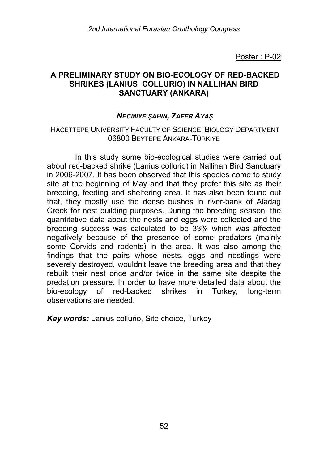## **A PRELIMINARY STUDY ON BIO-ECOLOGY OF RED-BACKED SHRIKES (LANIUS COLLURIO) IN NALLIHAN BIRD SANCTUARY (ANKARA)**

### *NECMIYE ŞAHIN, ZAFER AYAŞ*

#### HACETTEPE UNIVERSITY FACULTY OF SCIENCE BIOLOGY DEPARTMENT 06800 BEYTEPE ANKARA-TÜRKIYE

In this study some bio-ecological studies were carried out about red-backed shrike (Lanius collurio) in Nallihan Bird Sanctuary in 2006-2007. It has been observed that this species come to study site at the beginning of May and that they prefer this site as their breeding, feeding and sheltering area. It has also been found out that, they mostly use the dense bushes in river-bank of Aladag Creek for nest building purposes. During the breeding season, the quantitative data about the nests and eggs were collected and the breeding success was calculated to be 33% which was affected negatively because of the presence of some predators (mainly some Corvids and rodents) in the area. It was also among the findings that the pairs whose nests, eggs and nestlings were severely destroyed, wouldn't leave the breeding area and that they rebuilt their nest once and/or twice in the same site despite the predation pressure. In order to have more detailed data about the bio-ecology of red-backed shrikes in Turkey, long-term observations are needed.

*Key words:* Lanius collurio, Site choice, Turkey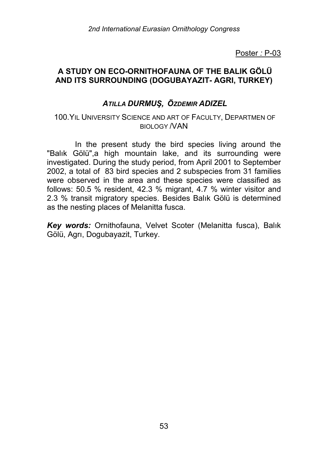## **A STUDY ON ECO-ORNITHOFAUNA OF THE BALIK GÖLÜ AND ITS SURROUNDING (DOGUBAYAZIT- AGRI, TURKEY)**

# *ATILLA DURMUŞ, ÖZDEMIR ADIZEL*

#### 100.YIL UNIVERSITY SCIENCE AND ART OF FACULTY, DEPARTMEN OF BIOLOGY /VAN

In the present study the bird species living around the "Balık Gölü",a high mountain lake, and its surrounding were investigated. During the study period, from April 2001 to September 2002, a total of 83 bird species and 2 subspecies from 31 families were observed in the area and these species were classified as follows: 50.5 % resident, 42.3 % migrant, 4.7 % winter visitor and 2.3 % transit migratory species. Besides Balık Gölü is determined as the nesting places of Melanitta fusca.

*Key words:* Ornithofauna, Velvet Scoter (Melanitta fusca), Balık Gölü, Agrı, Dogubayazit, Turkey.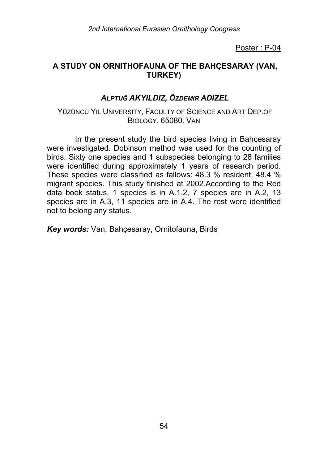## **A STUDY ON ORNITHOFAUNA OF THE BAHÇESARAY (VAN, TURKEY)**

# *ALPTUĞ AKYILDIZ, ÖZDEMIR ADIZEL*

YÜZÜNCÜ YIL UNIVERSITY, FACULTY OF SCIENCE AND ART DEP.OF BIOLOGY. 65080. VAN

In the present study the bird species living in Bahçesaray were investigated. Dobinson method was used for the counting of birds. Sixty one species and 1 subspecies belonging to 28 families were identified during approximately 1 years of research period. These species were classified as fallows: 48.3 % resident, 48.4 % migrant species. This study finished at 2002.According to the Red data book status, 1 species is in A.1.2, 7 species are in A.2, 13 species are in A.3, 11 species are in A.4. The rest were identified not to belong any status.

*Key words:* Van, Bahçesaray, Ornitofauna, Birds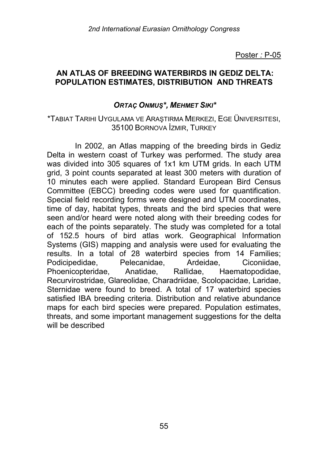#### **AN ATLAS OF BREEDING WATERBIRDS IN GEDIZ DELTA: POPULATION ESTIMATES, DISTRIBUTION AND THREATS**

#### *ORTAÇ ONMUŞ\*, MEHMET SIKI\**

#### \*TABIAT TARIHI UYGULAMA VE ARAŞTIRMA MERKEZI, EGE ÜNIVERSITESI, 35100 BORNOVA İZMIR, TURKEY

In 2002, an Atlas mapping of the breeding birds in Gediz Delta in western coast of Turkey was performed. The study area was divided into 305 squares of 1x1 km UTM grids. In each UTM grid, 3 point counts separated at least 300 meters with duration of 10 minutes each were applied. Standard European Bird Census Committee (EBCC) breeding codes were used for quantification. Special field recording forms were designed and UTM coordinates, time of day, habitat types, threats and the bird species that were seen and/or heard were noted along with their breeding codes for each of the points separately. The study was completed for a total of 152.5 hours of bird atlas work. Geographical Information Systems (GIS) mapping and analysis were used for evaluating the results. In a total of 28 waterbird species from 14 Families; Podicipedidae, Pelecanidae, Ardeidae, Ciconiidae, Phoenicopteridae, Anatidae, Rallidae, Haematopodidae, Recurvirostridae, Glareolidae, Charadriidae, Scolopacidae, Laridae, Sternidae were found to breed. A total of 17 waterbird species satisfied IBA breeding criteria. Distribution and relative abundance maps for each bird species were prepared. Population estimates, threats, and some important management suggestions for the delta will be described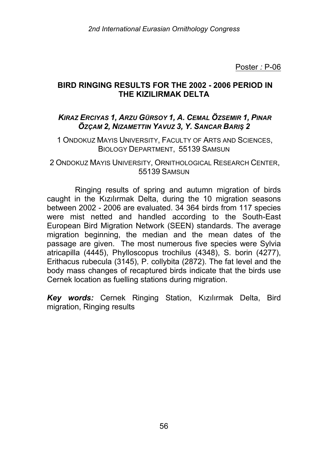### **BIRD RINGING RESULTS FOR THE 2002 - 2006 PERIOD IN THE KIZILIRMAK DELTA**

## *KIRAZ ERCIYAS 1, ARZU GÜRSOY 1, A. CEMAL ÖZSEMIR 1, PINAR ÖZÇAM 2, NIZAMETTIN YAVUZ 3, Y. SANCAR BARIŞ 2*

1 ONDOKUZ MAYIS UNIVERSITY, FACULTY OF ARTS AND SCIENCES, BIOLOGY DEPARTMENT, 55139 SAMSUN

2 ONDOKUZ MAYIS UNIVERSITY, ORNITHOLOGICAL RESEARCH CENTER, 55139 SAMSUN

Ringing results of spring and autumn migration of birds caught in the Kızılırmak Delta, during the 10 migration seasons between 2002 - 2006 are evaluated. 34 364 birds from 117 species were mist netted and handled according to the South-East European Bird Migration Network (SEEN) standards. The average migration beginning, the median and the mean dates of the passage are given. The most numerous five species were Sylvia atricapilla (4445), Phylloscopus trochilus (4348), S. borin (4277), Erithacus rubecula (3145), P. collybita (2872). The fat level and the body mass changes of recaptured birds indicate that the birds use Cernek location as fuelling stations during migration.

*Key words:* Cernek Ringing Station, Kızılırmak Delta, Bird migration, Ringing results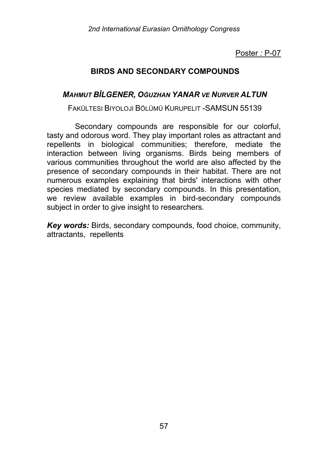# **BIRDS AND SECONDARY COMPOUNDS**

## *MAHMUT BİLGENER, OĞUZHAN YANAR VE NURVER ALTUN*

FAKÜLTESI BIYOLOJI BÖLÜMÜ KURUPELIT -SAMSUN 55139

Secondary compounds are responsible for our colorful, tasty and odorous word. They play important roles as attractant and repellents in biological communities; therefore, mediate the interaction between living organisms. Birds being members of various communities throughout the world are also affected by the presence of secondary compounds in their habitat. There are not numerous examples explaining that birds' interactions with other species mediated by secondary compounds. In this presentation, we review available examples in bird-secondary compounds subject in order to give insight to researchers.

*Key words:* Birds, secondary compounds, food choice, community, attractants, repellents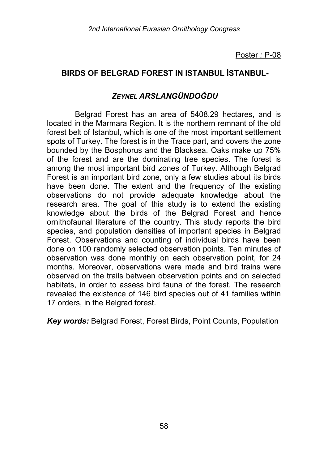# **BIRDS OF BELGRAD FOREST IN ISTANBUL İSTANBUL-**

## *ZEYNEL ARSLANGÜNDOĞDU*

Belgrad Forest has an area of 5408.29 hectares, and is located in the Marmara Region. It is the northern remnant of the old forest belt of Istanbul, which is one of the most important settlement spots of Turkey. The forest is in the Trace part, and covers the zone bounded by the Bosphorus and the Blacksea. Oaks make up 75% of the forest and are the dominating tree species. The forest is among the most important bird zones of Turkey. Although Belgrad Forest is an important bird zone, only a few studies about its birds have been done. The extent and the frequency of the existing observations do not provide adequate knowledge about the research area. The goal of this study is to extend the existing knowledge about the birds of the Belgrad Forest and hence ornithofaunal literature of the country. This study reports the bird species, and population densities of important species in Belgrad Forest. Observations and counting of individual birds have been done on 100 randomly selected observation points. Ten minutes of observation was done monthly on each observation point, for 24 months. Moreover, observations were made and bird trains were observed on the trails between observation points and on selected habitats, in order to assess bird fauna of the forest. The research revealed the existence of 146 bird species out of 41 families within 17 orders, in the Belgrad forest.

*Key words:* Belgrad Forest, Forest Birds, Point Counts, Population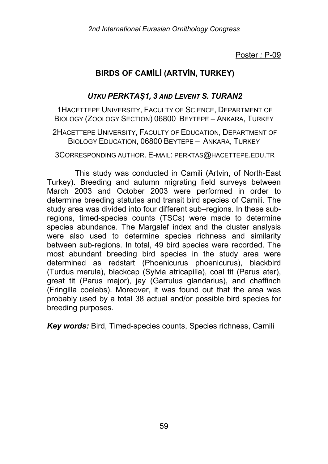# **BIRDS OF CAMİLİ (ARTVİN, TURKEY)**

## *UTKU PERKTAŞ1, 3 AND LEVENT S. TURAN2*

1HACETTEPE UNIVERSITY, FACULTY OF SCIENCE, DEPARTMENT OF BIOLOGY (ZOOLOGY SECTION) 06800 BEYTEPE – ANKARA, TURKEY

2HACETTEPE UNIVERSITY, FACULTY OF EDUCATION, DEPARTMENT OF BIOLOGY EDUCATION, 06800 BEYTEPE – ANKARA, TURKEY

3CORRESPONDING AUTHOR. E-MAIL: PERKTAS@HACETTEPE.EDU.TR

This study was conducted in Camili (Artvin, of North-East Turkey). Breeding and autumn migrating field surveys between March 2003 and October 2003 were performed in order to determine breeding statutes and transit bird species of Camili. The study area was divided into four different sub–regions. In these subregions, timed-species counts (TSCs) were made to determine species abundance. The Margalef index and the cluster analysis were also used to determine species richness and similarity between sub-regions. In total, 49 bird species were recorded. The most abundant breeding bird species in the study area were determined as redstart (Phoenicurus phoenicurus), blackbird (Turdus merula), blackcap (Sylvia atricapilla), coal tit (Parus ater), great tit (Parus major), jay (Garrulus glandarius), and chaffinch (Fringilla coelebs). Moreover, it was found out that the area was probably used by a total 38 actual and/or possible bird species for breeding purposes.

*Key words:* Bird, Timed-species counts, Species richness, Camili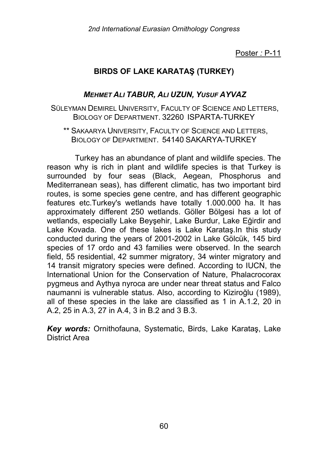# **BIRDS OF LAKE KARATAŞ (TURKEY)**

## *MEHMET ALI TABUR, ALI UZUN, YUSUF AYVAZ*

- SÜLEYMAN DEMIREL UNIVERSITY, FACULTY OF SCIENCE AND LETTERS, BIOLOGY OF DEPARTMENT. 32260 ISPARTA-TURKEY
	- \*\* SAKAARYA UNIVERSITY, FACULTY OF SCIENCE AND LETTERS, BIOLOGY OF DEPARTMENT. 54140 SAKARYA-TURKEY

Turkey has an abundance of plant and wildlife species. The reason why is rich in plant and wildlife species is that Turkey is surrounded by four seas (Black, Aegean, Phosphorus and Mediterranean seas), has different climatic, has two important bird routes, is some species gene centre, and has different geographic features etc.Turkey's wetlands have totally 1.000.000 ha. It has approximately different 250 wetlands. Göller Bölgesi has a lot of wetlands, especially Lake Beyşehir, Lake Burdur, Lake Eğirdir and Lake Kovada. One of these lakes is Lake Karataş.In this study conducted during the years of 2001-2002 in Lake Gölcük, 145 bird species of 17 ordo and 43 families were observed. In the search field, 55 residential, 42 summer migratory, 34 winter migratory and 14 transit migratory species were defined. According to IUCN, the International Union for the Conservation of Nature, Phalacrocorax pygmeus and Aythya nyroca are under near threat status and Falco naumanni is vulnerable status. Also, according to Kiziroğlu (1989), all of these species in the lake are classified as 1 in A.1.2, 20 in A.2, 25 in A.3, 27 in A.4, 3 in B.2 and 3 B.3.

*Key words:* Ornithofauna, Systematic, Birds, Lake Karataş, Lake District Area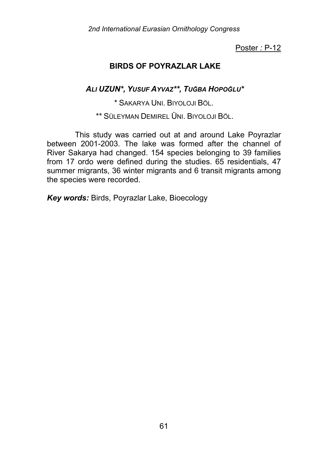## **BIRDS OF POYRAZLAR LAKE**

*ALI UZUN\*, YUSUF AYVAZ\*\*, TUĞBA HOPOĞLU\**

\* SAKARYA UNI. BIYOLOJI BÖL.

\*\* SÜLEYMAN DEMIREL ÜNI. BIYOLOJI BÖL.

This study was carried out at and around Lake Poyrazlar between 2001-2003. The lake was formed after the channel of River Sakarya had changed. 154 species belonging to 39 families from 17 ordo were defined during the studies. 65 residentials, 47 summer migrants, 36 winter migrants and 6 transit migrants among the species were recorded.

*Key words:* Birds, Poyrazlar Lake, Bioecology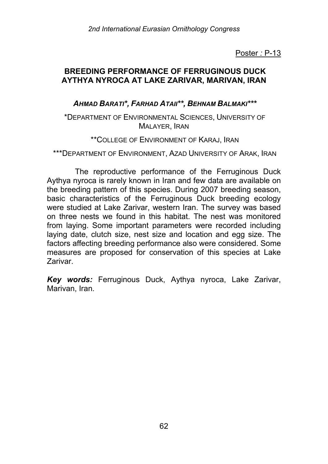## **BREEDING PERFORMANCE OF FERRUGINOUS DUCK AYTHYA NYROCA AT LAKE ZARIVAR, MARIVAN, IRAN**

## *AHMAD BARATI\*, FARHAD ATAII\*\*, BEHNAM BALMAKI\*\*\**

#### \*DEPARTMENT OF ENVIRONMENTAL SCIENCES, UNIVERSITY OF MALAYER, IRAN

#### \*\*COLLEGE OF ENVIRONMENT OF KARAJ, IRAN

\*\*\*DEPARTMENT OF ENVIRONMENT, AZAD UNIVERSITY OF ARAK, IRAN

The reproductive performance of the Ferruginous Duck Aythya nyroca is rarely known in Iran and few data are available on the breeding pattern of this species. During 2007 breeding season, basic characteristics of the Ferruginous Duck breeding ecology were studied at Lake Zarivar, western Iran. The survey was based on three nests we found in this habitat. The nest was monitored from laying. Some important parameters were recorded including laying date, clutch size, nest size and location and egg size. The factors affecting breeding performance also were considered. Some measures are proposed for conservation of this species at Lake Zarivar.

*Key words:* Ferruginous Duck, Aythya nyroca, Lake Zarivar, Marivan, Iran.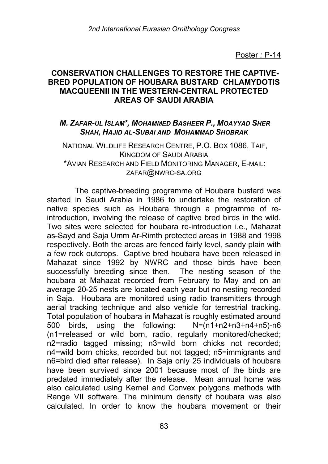#### **CONSERVATION CHALLENGES TO RESTORE THE CAPTIVE-BRED POPULATION OF HOUBARA BUSTARD CHLAMYDOTIS MACQUEENII IN THE WESTERN-CENTRAL PROTECTED AREAS OF SAUDI ARABIA**

#### *M. ZAFAR-UL ISLAM\*, MOHAMMED BASHEER P., MOAYYAD SHER SHAH, HAJID AL-SUBAI AND MOHAMMAD SHOBRAK*

#### NATIONAL WILDLIFE RESEARCH CENTRE, P.O. BOX 1086, TAIF, KINGDOM OF SAUDI ARABIA \*AVIAN RESEARCH AND FIELD MONITORING MANAGER, E-MAIL: ZAFAR@NWRC-SA.ORG

The captive-breeding programme of Houbara bustard was started in Saudi Arabia in 1986 to undertake the restoration of native species such as Houbara through a programme of reintroduction, involving the release of captive bred birds in the wild. Two sites were selected for houbara re-introduction i.e., Mahazat as-Sayd and Saja Umm Ar-Rimth protected areas in 1988 and 1998 respectively. Both the areas are fenced fairly level, sandy plain with a few rock outcrops. Captive bred houbara have been released in Mahazat since 1992 by NWRC and those birds have been successfully breeding since then. The nesting season of the houbara at Mahazat recorded from February to May and on an average 20-25 nests are located each year but no nesting recorded in Saja. Houbara are monitored using radio transmitters through aerial tracking technique and also vehicle for terrestrial tracking. Total population of houbara in Mahazat is roughly estimated around 500 birds, using the following: N=(n1+n2+n3+n4+n5)-n6 (n1=released or wild born, radio, regularly monitored/checked; n2=radio tagged missing; n3=wild born chicks not recorded; n4=wild born chicks, recorded but not tagged; n5=immigrants and n6=bird died after release). In Saja only 25 individuals of houbara have been survived since 2001 because most of the birds are predated immediately after the release. Mean annual home was also calculated using Kernel and Convex polygons methods with Range VII software. The minimum density of houbara was also calculated. In order to know the houbara movement or their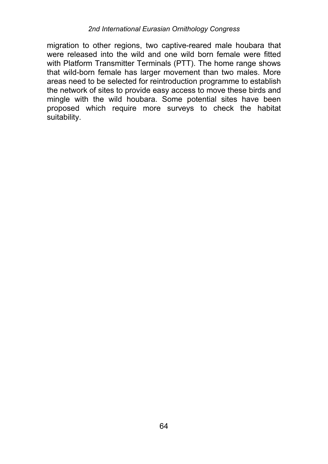#### *2nd International Eurasian Ornithology Congress*

migration to other regions, two captive-reared male houbara that were released into the wild and one wild born female were fitted with Platform Transmitter Terminals (PTT). The home range shows that wild-born female has larger movement than two males. More areas need to be selected for reintroduction programme to establish the network of sites to provide easy access to move these birds and mingle with the wild houbara. Some potential sites have been proposed which require more surveys to check the habitat suitability.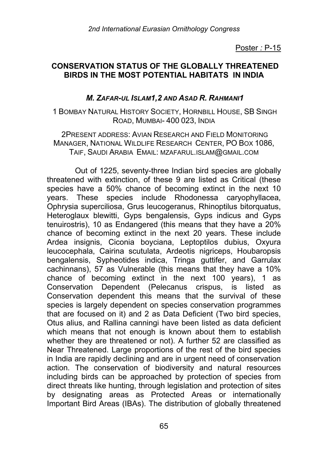## **CONSERVATION STATUS OF THE GLOBALLY THREATENED BIRDS IN THE MOST POTENTIAL HABITATS IN INDIA**

### *M. ZAFAR-UL ISLAM1,2 AND ASAD R. RAHMANI1*

1 BOMBAY NATURAL HISTORY SOCIETY, HORNBILL HOUSE, SB SINGH ROAD, MUMBAI- 400 023, INDIA

2PRESENT ADDRESS: AVIAN RESEARCH AND FIELD MONITORING MANAGER, NATIONAL WILDLIFE RESEARCH CENTER, PO BOX 1086, TAIF, SAUDI ARABIA EMAIL: MZAFARUL.ISLAM@GMAIL.COM

Out of 1225, seventy-three Indian bird species are globally threatened with extinction, of these 9 are listed as Critical (these species have a 50% chance of becoming extinct in the next 10 years. These species include Rhodonessa caryophyllacea, Ophrysia superciliosa, Grus leucogeranus, Rhinoptilus bitorquatus, Heteroglaux blewitti, Gyps bengalensis, Gyps indicus and Gyps tenuirostris), 10 as Endangered (this means that they have a 20% chance of becoming extinct in the next 20 years. These include Ardea insignis, Ciconia boyciana, Leptoptilos dubius, Oxyura leucocephala, Cairina scutulata, Ardeotis nigriceps, Houbaropsis bengalensis, Sypheotides indica, Tringa guttifer, and Garrulax cachinnans), 57 as Vulnerable (this means that they have a 10% chance of becoming extinct in the next 100 years), 1 as Conservation Dependent (Pelecanus crispus, is listed as Conservation dependent this means that the survival of these species is largely dependent on species conservation programmes that are focused on it) and 2 as Data Deficient (Two bird species, Otus alius, and Rallina canningi have been listed as data deficient which means that not enough is known about them to establish whether they are threatened or not). A further 52 are classified as Near Threatened. Large proportions of the rest of the bird species in India are rapidly declining and are in urgent need of conservation action. The conservation of biodiversity and natural resources including birds can be approached by protection of species from direct threats like hunting, through legislation and protection of sites by designating areas as Protected Areas or internationally Important Bird Areas (IBAs). The distribution of globally threatened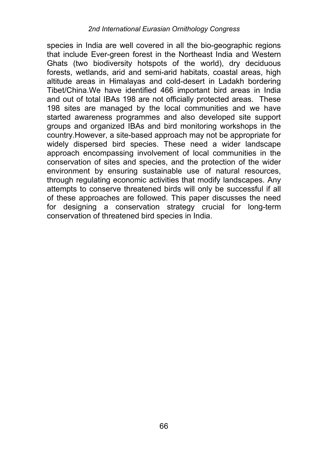species in India are well covered in all the bio-geographic regions that include Ever-green forest in the Northeast India and Western Ghats (two biodiversity hotspots of the world), dry deciduous forests, wetlands, arid and semi-arid habitats, coastal areas, high altitude areas in Himalayas and cold-desert in Ladakh bordering Tibet/China.We have identified 466 important bird areas in India and out of total IBAs 198 are not officially protected areas. These 198 sites are managed by the local communities and we have started awareness programmes and also developed site support groups and organized IBAs and bird monitoring workshops in the country.However, a site-based approach may not be appropriate for widely dispersed bird species. These need a wider landscape approach encompassing involvement of local communities in the conservation of sites and species, and the protection of the wider environment by ensuring sustainable use of natural resources, through regulating economic activities that modify landscapes. Any attempts to conserve threatened birds will only be successful if all of these approaches are followed. This paper discusses the need for designing a conservation strategy crucial for long-term conservation of threatened bird species in India.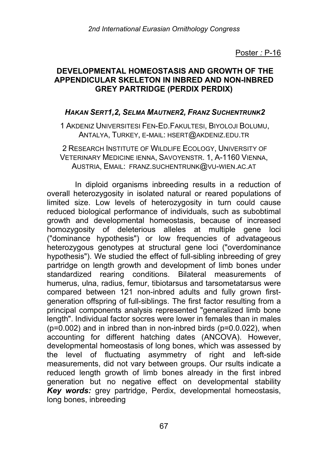## **DEVELOPMENTAL HOMEOSTASIS AND GROWTH OF THE APPENDICULAR SKELETON IN INBRED AND NON-INBRED GREY PARTRIDGE (PERDIX PERDIX)**

### *HAKAN SERT1,2, SELMA MAUTNER2, FRANZ SUCHENTRUNK2*

1 AKDENIZ UNIVERSITESI FEN-ED.FAKULTESI, BIYOLOJI BOLUMU, ANTALYA, TURKEY, E-MAIL: HSERT@AKDENIZ.EDU.TR

2 RESEARCH INSTITUTE OF WILDLIFE ECOLOGY, UNIVERSITY OF VETERINARY MEDICINE IENNA, SAVOYENSTR. 1, A-1160 VIENNA, AUSTRIA, EMAIL: FRANZ.SUCHENTRUNK@VU-WIEN.AC.AT

In diploid organisms inbreeding results in a reduction of overall heterozygosity in isolated natural or reared populations of limited size. Low levels of heterozygosity in turn could cause reduced biological performance of individuals, such as subobtimal growth and developmental homeostasis, because of increased homozygosity of deleterious alleles at multiple gene loci ("dominance hypothesis") or low frequencies of advatageous heterozygous genotypes at structural gene loci ("overdominance hypothesis"). We studied the effect of full-sibling inbreeding of grey partridge on length growth and development of limb bones under standardized rearing conditions. Bilateral measurements of humerus, ulna, radius, femur, tibiotarsus and tarsometatarsus were compared between 121 non-inbred adults and fully grown firstgeneration offspring of full-siblings. The first factor resulting from a principal components analysis represented "generalized limb bone length". Individual factor socres were lower in females than in males  $(p=0.002)$  and in inbred than in non-inbred birds  $(p=0.0022)$ , when accounting for different hatching dates (ANCOVA). However, developmental homeostasis of long bones, which was assessed by the level of fluctuating asymmetry of right and left-side measurements, did not vary between groups. Our rsults indicate a reduced length growth of limb bones already in the first inbred generation but no negative effect on developmental stability *Key words:* grey partridge, Perdix, developmental homeostasis, long bones, inbreeding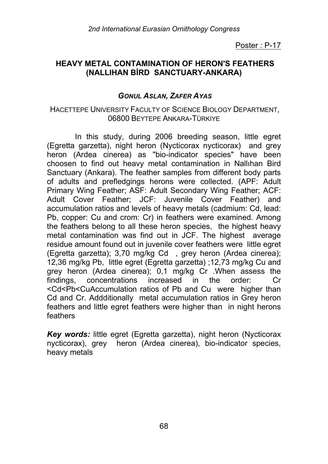## **HEAVY METAL CONTAMINATION OF HERON'S FEATHERS (NALLIHAN BİRD SANCTUARY-ANKARA)**

## *GONUL ASLAN, ZAFER AYAS*

#### HACETTEPE UNIVERSITY FACULTY OF SCIENCE BIOLOGY DEPARTMENT, 06800 BEYTEPE ANKARA-TÜRKIYE

In this study, during 2006 breeding season, little egret (Egretta garzetta), night heron (Nycticorax nycticorax) and grey heron (Ardea cinerea) as "bio-indicator species" have been choosen to find out heavy metal contamination in Nallıhan Bird Sanctuary (Ankara). The feather samples from different body parts of adults and prefledgings herons were collected. (APF: Adult Primary Wing Feather; ASF: Adult Secondary Wing Feather; ACF: Adult Cover Feather; JCF: Juvenile Cover Feather) and accumulation ratios and levels of heavy metals (cadmium: Cd, lead: Pb, copper: Cu and crom: Cr) in feathers were examined. Among the feathers belong to all these heron species, the highest heavy metal contamination was find out in JCF. The highest average residue amount found out in juvenile cover feathers were little egret (Egretta garzetta); 3,70 mg/kg Cd , grey heron (Ardea cinerea); 12,36 mg/kg Pb, little egret (Egretta garzetta) ;12,73 mg/kg Cu and grey heron (Ardea cinerea); 0,1 mg/kg Cr .When assess the findings, concentrations increased in the order: Cr <Cd<Pb<CuAccumulation ratios of Pb and Cu were higher than Cd and Cr. Addditionally metal accumulation ratios in Grey heron feathers and little egret feathers were higher than in night herons feathers

*Key words:* little egret (Egretta garzetta), night heron (Nycticorax nycticorax), grey heron (Ardea cinerea), bio-indicator species, heavy metals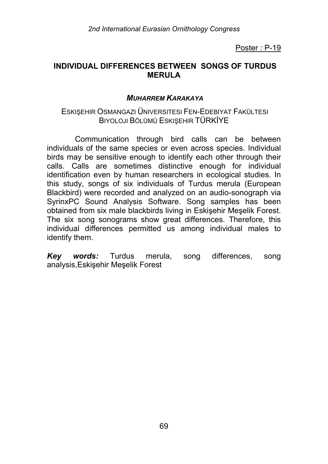## **INDIVIDUAL DIFFERENCES BETWEEN SONGS OF TURDUS MERULA**

#### *MUHARREM KARAKAYA*

#### ESKIŞEHIR OSMANGAZI ÜNIVERSITESI FEN-EDEBIYAT FAKÜLTESI BIYOLOJI BÖLÜMÜ ESKIŞEHIR TÜRKİYE

Communication through bird calls can be between individuals of the same species or even across species. Individual birds may be sensitive enough to identify each other through their calls. Calls are sometimes distinctive enough for individual identification even by human researchers in ecological studies. In this study, songs of six individuals of Turdus merula (European Blackbird) were recorded and analyzed on an audio-sonograph via SyrinxPC Sound Analysis Software. Song samples has been obtained from six male blackbirds living in Eskişehir Meşelik Forest. The six song sonograms show great differences. Therefore, this individual differences permitted us among individual males to identify them.

*Key words:* Turdus merula, song differences, song analysis,Eskişehir Meşelik Forest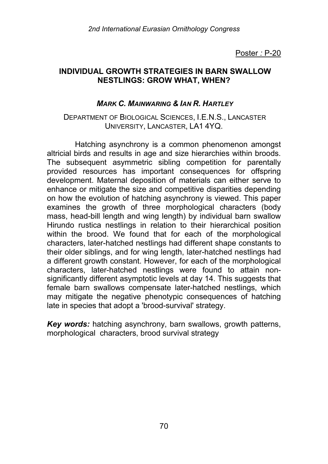### **INDIVIDUAL GROWTH STRATEGIES IN BARN SWALLOW NESTLINGS: GROW WHAT, WHEN?**

### *MARK C. MAINWARING & IAN R. HARTLEY*

#### DEPARTMENT OF BIOLOGICAL SCIENCES, I.E.N.S., LANCASTER UNIVERSITY, LANCASTER, LA1 4YQ.

Hatching asynchrony is a common phenomenon amongst altricial birds and results in age and size hierarchies within broods. The subsequent asymmetric sibling competition for parentally provided resources has important consequences for offspring development. Maternal deposition of materials can either serve to enhance or mitigate the size and competitive disparities depending on how the evolution of hatching asynchrony is viewed. This paper examines the growth of three morphological characters (body mass, head-bill length and wing length) by individual barn swallow Hirundo rustica nestlings in relation to their hierarchical position within the brood. We found that for each of the morphological characters, later-hatched nestlings had different shape constants to their older siblings, and for wing length, later-hatched nestlings had a different growth constant. However, for each of the morphological characters, later-hatched nestlings were found to attain nonsignificantly different asymptotic levels at day 14. This suggests that female barn swallows compensate later-hatched nestlings, which may mitigate the negative phenotypic consequences of hatching late in species that adopt a 'brood-survival' strategy.

*Key words:* hatching asynchrony, barn swallows, growth patterns, morphological characters, brood survival strategy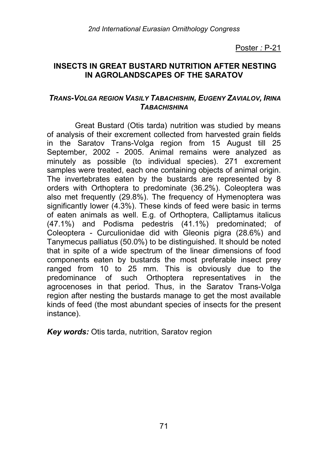## **INSECTS IN GREAT BUSTARD NUTRITION AFTER NESTING IN AGROLANDSCAPES OF THE SARATOV**

### *TRANS-VOLGA REGION VASILY TABACHISHIN, EUGENY ZAVIALOV, IRINA TABACHISHINA*

Great Bustard (Otis tarda) nutrition was studied by means of analysis of their excrement collected from harvested grain fields in the Saratov Trans-Volga region from 15 August till 25 September, 2002 - 2005. Animal remains were analyzed as minutely as possible (to individual species). 271 excrement samples were treated, each one containing objects of animal origin. The invertebrates eaten by the bustards are represented by 8 orders with Orthoptera to predominate (36.2%). Coleoptera was also met frequently (29.8%). The frequency of Hymenoptera was significantly lower (4.3%). These kinds of feed were basic in terms of eaten animals as well. E.g. of Orthoptera, Calliptamus italicus (47.1%) and Podisma pedestris (41.1%) predominated; of Coleoptera - Curculionidae did with Gleonis pigra (28.6%) and Tanymecus palliatus (50.0%) to be distinguished. It should be noted that in spite of a wide spectrum of the linear dimensions of food components eaten by bustards the most preferable insect prey ranged from 10 to 25 mm. This is obviously due to the predominance of such Orthoptera representatives in the agrocenoses in that period. Thus, in the Saratov Trans-Volga region after nesting the bustards manage to get the most available kinds of feed (the most abundant species of insects for the present instance).

*Key words:* Otis tarda, nutrition, Saratov region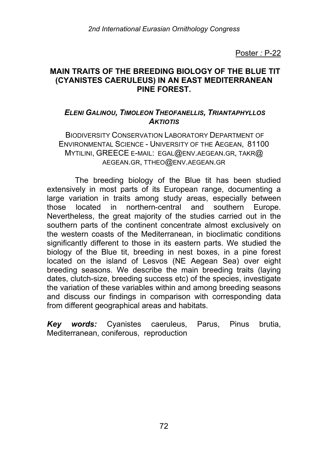## **MAIN TRAITS OF THE BREEDING BIOLOGY OF THE BLUE TIT (CYANISTES CAERULEUS) IN AN EAST MEDITERRANEAN PINE FOREST.**

## *ELENI GALINOU, TIMOLEON THEOFANELLIS, TRIANTAPHYLLOS AKTIOTIS*

BIODIVERSITY CONSERVATION LABORATORY DEPARTMENT OF ENVIRONMENTAL SCIENCE - UNIVERSITY OF THE AEGEAN, 81100 MYTILINI, GREECE E-MAIL: EGAL@ENV.AEGEAN.GR, TAKR@ AEGEAN.GR, TTHEO@ENV.AEGEAN.GR

The breeding biology of the Blue tit has been studied extensively in most parts of its European range, documenting a large variation in traits among study areas, especially between those located in northern-central and southern Europe. Nevertheless, the great majority of the studies carried out in the southern parts of the continent concentrate almost exclusively on the western coasts of the Mediterranean, in bioclimatic conditions significantly different to those in its eastern parts. We studied the biology of the Blue tit, breeding in nest boxes, in a pine forest located on the island of Lesvos (NE Aegean Sea) over eight breeding seasons. We describe the main breeding traits (laying dates, clutch-size, breeding success etc) of the species, investigate the variation of these variables within and among breeding seasons and discuss our findings in comparison with corresponding data from different geographical areas and habitats.

*Key words:* Cyanistes caeruleus, Parus, Pinus brutia, Mediterranean, coniferous, reproduction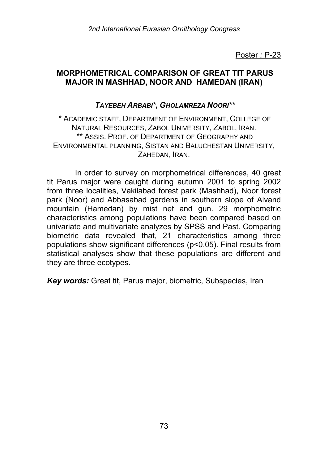### **MORPHOMETRICAL COMPARISON OF GREAT TIT PARUS MAJOR IN MASHHAD, NOOR AND HAMEDAN (IRAN)**

### *TAYEBEH ARBABI\*, GHOLAMREZA NOORI\*\**

\* ACADEMIC STAFF, DEPARTMENT OF ENVIRONMENT, COLLEGE OF NATURAL RESOURCES, ZABOL UNIVERSITY, ZABOL, IRAN. \*\* ASSIS. PROF. OF DEPARTMENT OF GEOGRAPHY AND ENVIRONMENTAL PLANNING, SISTAN AND BALUCHESTAN UNIVERSITY, ZAHEDAN, IRAN.

In order to survey on morphometrical differences, 40 great tit Parus major were caught during autumn 2001 to spring 2002 from three localities, Vakilabad forest park (Mashhad), Noor forest park (Noor) and Abbasabad gardens in southern slope of Alvand mountain (Hamedan) by mist net and gun. 29 morphometric characteristics among populations have been compared based on univariate and multivariate analyzes by SPSS and Past. Comparing biometric data revealed that, 21 characteristics among three populations show significant differences (p<0.05). Final results from statistical analyses show that these populations are different and they are three ecotypes.

*Key words:* Great tit, Parus major, biometric, Subspecies, Iran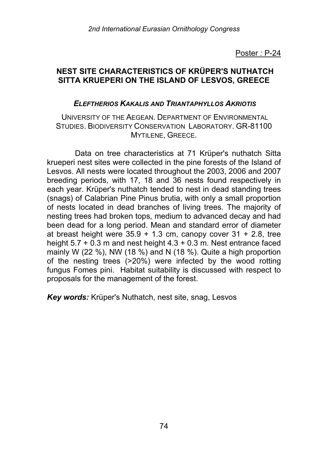## **NEST SITE CHARACTERISTICS OF KRÜPER'S NUTHATCH SITTA KRUEPERI ON THE ISLAND OF LESVOS, GREECE**

### *ELEFTHERIOS KAKALIS AND TRIANTAPHYLLOS AKRIOTIS*

#### UNIVERSITY OF THE AEGEAN. DEPARTMENT OF ENVIRONMENTAL STUDIES. BIODIVERSITY CONSERVATION LABORATORY. GR-81100 MYTILENE, GREECE.

Data on tree characteristics at 71 Krüper's nuthatch Sitta krueperi nest sites were collected in the pine forests of the Island of Lesvos. All nests were located throughout the 2003, 2006 and 2007 breeding periods, with 17, 18 and 36 nests found respectively in each year. Krüper's nuthatch tended to nest in dead standing trees (snags) of Calabrian Pine Pinus brutia, with only a small proportion of nests located in dead branches of living trees. The majority of nesting trees had broken tops, medium to advanced decay and had been dead for a long period. Mean and standard error of diameter at breast height were  $35.9 + 1.3$  cm, canopy cover  $31 + 2.8$ , tree height 5.7 + 0.3 m and nest height 4.3 + 0.3 m. Nest entrance faced mainly W (22 %), NW (18 %) and N (18 %). Quite a high proportion of the nesting trees (>20%) were infected by the wood rotting fungus Fomes pini. Habitat suitability is discussed with respect to proposals for the management of the forest.

*Key words:* Krüper's Nuthatch, nest site, snag, Lesvos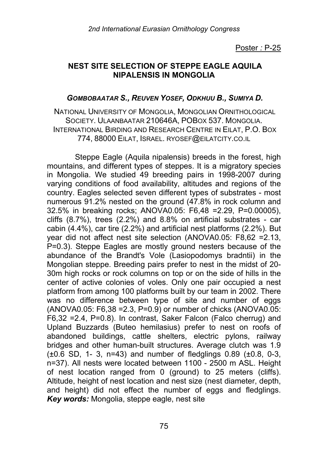### **NEST SITE SELECTION OF STEPPE EAGLE AQUILA NIPALENSIS IN MONGOLIA**

#### *GOMBOBAATAR S., REUVEN YOSEF, ODKHUU B., SUMIYA D.*

NATIONAL UNIVERSITY OF MONGOLIA, MONGOLIAN ORNITHOLOGICAL SOCIETY. ULAANBAATAR 210646A, POBOX 537. MONGOLIA. INTERNATIONAL BIRDING AND RESEARCH CENTRE IN EILAT, P.O. BOX 774, 88000 EILAT, ISRAEL. RYOSEF@EILATCITY.CO.IL

Steppe Eagle (Aquila nipalensis) breeds in the forest, high mountains, and different types of steppes. It is a migratory species in Mongolia. We studied 49 breeding pairs in 1998-2007 during varying conditions of food availability, altitudes and regions of the country. Eagles selected seven different types of substrates - most numerous 91.2% nested on the ground (47.8% in rock column and 32.5% in breaking rocks; ANOVA0.05: F6,48 =2.29, P=0.00005), cliffs (8.7%), trees (2.2%) and 8.8% on artificial substrates - car cabin (4.4%), car tire (2.2%) and artificial nest platforms (2.2%). But year did not affect nest site selection (ANOVA0.05: F8,62 =2.13, P=0.3). Steppe Eagles are mostly ground nesters because of the abundance of the Brandt's Vole (Lasiopodomys bradntii) in the Mongolian steppe. Breeding pairs prefer to nest in the midst of 20- 30m high rocks or rock columns on top or on the side of hills in the center of active colonies of voles. Only one pair occupied a nest platform from among 100 platforms built by our team in 2002. There was no difference between type of site and number of eggs (ANOVA0.05: F6,38 =2.3, P=0.9) or number of chicks (ANOVA0.05: F6,32 =2.4, P=0.8). In contrast, Saker Falcon (Falco cherrug) and Upland Buzzards (Buteo hemilasius) prefer to nest on roofs of abandoned buildings, cattle shelters, electric pylons, railway bridges and other human-built structures. Average clutch was 1.9 (±0.6 SD, 1- 3, n=43) and number of fledglings 0.89 (±0.8, 0-3, n=37). All nests were located between 1100 - 2500 m ASL. Height of nest location ranged from 0 (ground) to 25 meters (cliffs). Altitude, height of nest location and nest size (nest diameter, depth, and height) did not effect the number of eggs and fledglings. *Key words:* Mongolia, steppe eagle, nest site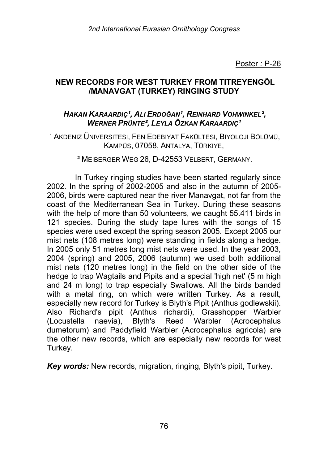# **NEW RECORDS FOR WEST TURKEY FROM TITREYENGÖL /MANAVGAT (TURKEY) RINGING STUDY**

## *HAKAN KARAARDIǹ, ALI ERDOĞAN¹, REINHARD VOHWINKEL², WERNER PRÜNTE², LEYLA ÖZKAN KARAARDIǹ*

<sup>1</sup> AKDENIZ ÜNIVERSITESI, FEN EDEBIYAT FAKÜLTESI, BIYOLOJI BÖLÜMÜ, KAMPÜS, 07058, ANTALYA, TÜRKIYE,

#### ² MEIBERGER WEG 26, D-42553 VELBERT, GERMANY.

In Turkey ringing studies have been started regularly since 2002. In the spring of 2002-2005 and also in the autumn of 2005- 2006, birds were captured near the river Manavgat, not far from the coast of the Mediterranean Sea in Turkey. During these seasons with the help of more than 50 volunteers, we caught 55.411 birds in 121 species. During the study tape lures with the songs of 15 species were used except the spring season 2005. Except 2005 our mist nets (108 metres long) were standing in fields along a hedge. In 2005 only 51 metres long mist nets were used. In the year 2003, 2004 (spring) and 2005, 2006 (autumn) we used both additional mist nets (120 metres long) in the field on the other side of the hedge to trap Wagtails and Pipits and a special 'high net' (5 m high and 24 m long) to trap especially Swallows. All the birds banded with a metal ring, on which were written Turkey. As a result, especially new record for Turkey is Blyth's Pipit (Anthus godlewskii). Also Richard's pipit (Anthus richardi), Grasshopper Warbler (Locustella naevia), Blyth's Reed Warbler (Acrocephalus dumetorum) and Paddyfield Warbler (Acrocephalus agricola) are the other new records, which are especially new records for west Turkey.

*Key words:* New records, migration, ringing, Blyth's pipit, Turkey.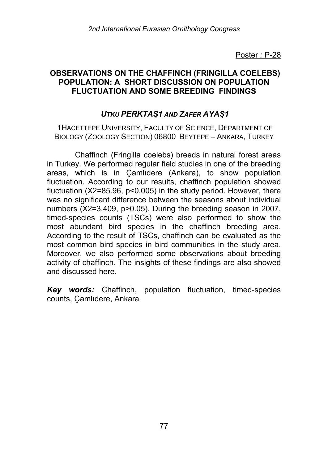### **OBSERVATIONS ON THE CHAFFINCH (FRINGILLA COELEBS) POPULATION: A SHORT DISCUSSION ON POPULATION FLUCTUATION AND SOME BREEDING FINDINGS**

## *UTKU PERKTAŞ1 AND ZAFER AYAŞ1*

1HACETTEPE UNIVERSITY, FACULTY OF SCIENCE, DEPARTMENT OF BIOLOGY (ZOOLOGY SECTION) 06800 BEYTEPE – ANKARA, TURKEY

Chaffinch (Fringilla coelebs) breeds in natural forest areas in Turkey. We performed regular field studies in one of the breeding areas, which is in Çamlıdere (Ankara), to show population fluctuation. According to our results, chaffinch population showed fluctuation (X2=85.96, p<0.005) in the study period. However, there was no significant difference between the seasons about individual numbers (X2=3.409, p>0.05). During the breeding season in 2007, timed-species counts (TSCs) were also performed to show the most abundant bird species in the chaffinch breeding area. According to the result of TSCs, chaffinch can be evaluated as the most common bird species in bird communities in the study area. Moreover, we also performed some observations about breeding activity of chaffinch. The insights of these findings are also showed and discussed here.

*Key words:* Chaffinch, population fluctuation, timed-species counts, Çamlıdere, Ankara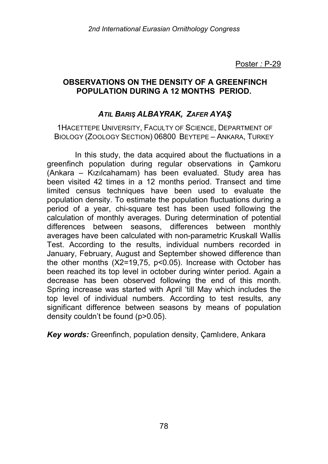## **OBSERVATIONS ON THE DENSITY OF A GREENFINCH POPULATION DURING A 12 MONTHS PERIOD.**

# *ATIL BARIŞ ALBAYRAK, ZAFER AYAŞ*

1HACETTEPE UNIVERSITY, FACULTY OF SCIENCE, DEPARTMENT OF BIOLOGY (ZOOLOGY SECTION) 06800 BEYTEPE – ANKARA, TURKEY

In this study, the data acquired about the fluctuations in a greenfinch population during regular observations in Çamkoru (Ankara – Kızılcahamam) has been evaluated. Study area has been visited 42 times in a 12 months period. Transect and time limited census techniques have been used to evaluate the population density. To estimate the population fluctuations during a period of a year, chi-square test has been used following the calculation of monthly averages. During determination of potential differences between seasons, differences between monthly averages have been calculated with non-parametric Kruskall Wallis Test. According to the results, individual numbers recorded in January, February, August and September showed difference than the other months (X2=19,75, p<0.05). Increase with October has been reached its top level in october during winter period. Again a decrease has been observed following the end of this month. Spring increase was started with April 'till May which includes the top level of individual numbers. According to test results, any significant difference between seasons by means of population density couldn't be found (p>0.05).

*Key words:* Greenfinch, population density, Çamlıdere, Ankara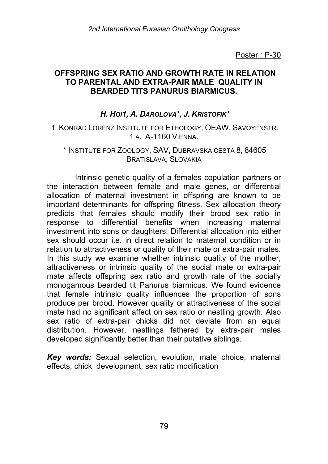### **OFFSPRING SEX RATIO AND GROWTH RATE IN RELATION TO PARENTAL AND EXTRA-PAIR MALE QUALITY IN BEARDED TITS PANURUS BIARMICUS.**

# *H. HOI1, A. DAROLOVA\*, J. KRISTOFIK\**

1 KONRAD LORENZ INSTITUTE FOR ETHOLOGY, OEAW, SAVOYENSTR. 1 A, A-1160 VIENNA.

#### \* INSTITUTE FOR ZOOLOGY, SAV, DUBRAVSKA CESTA 8, 84605 BRATISLAVA, SLOVAKIA

Intrinsic genetic quality of a females copulation partners or the interaction between female and male genes, or differential allocation of maternal investment in offspring are known to be important determinants for offspring fitness. Sex allocation theory predicts that females should modify their brood sex ratio in response to differential benefits when increasing maternal investment into sons or daughters. Differential allocation into either sex should occur i.e. in direct relation to maternal condition or in relation to attractiveness or quality of their mate or extra-pair mates. In this study we examine whether intrinsic quality of the mother, attractiveness or intrinsic quality of the social mate or extra-pair mate affects offspring sex ratio and growth rate of the socially monogamous bearded tit Panurus biarmicus. We found evidence that female intrinsic quality influences the proportion of sons produce per brood. However quality or attractiveness of the social mate had no significant affect on sex ratio or nestling growth. Also sex ratio of extra-pair chicks did not deviate from an equal distribution. However, nestlings fathered by extra-pair males developed significantly better than their putative siblings.

*Key words:* Sexual selection, evolution, mate choice, maternal effects, chick development, sex ratio modification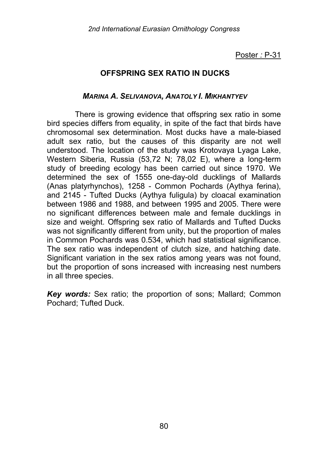# **OFFSPRING SEX RATIO IN DUCKS**

#### *MARINA A. SELIVANOVA, ANATOLY I. MIKHANTYEV*

There is growing evidence that offspring sex ratio in some bird species differs from equality, in spite of the fact that birds have chromosomal sex determination. Most ducks have a male-biased adult sex ratio, but the causes of this disparity are not well understood. The location of the study was Krotovaya Lyaga Lake, Western Siberia, Russia (53,72 N; 78,02 E), where a long-term study of breeding ecology has been carried out since 1970. We determined the sex of 1555 one-day-old ducklings of Mallards (Anas platyrhynchos), 1258 - Common Pochards (Aythya ferina), and 2145 - Tufted Ducks (Aythya fuligula) by cloacal examination between 1986 and 1988, and between 1995 and 2005. There were no significant differences between male and female ducklings in size and weight. Offspring sex ratio of Mallards and Tufted Ducks was not significantly different from unity, but the proportion of males in Common Pochards was 0.534, which had statistical significance. The sex ratio was independent of clutch size, and hatching date. Significant variation in the sex ratios among years was not found, but the proportion of sons increased with increasing nest numbers in all three species.

*Key words:* Sex ratio; the proportion of sons; Mallard; Common Pochard; Tufted Duck.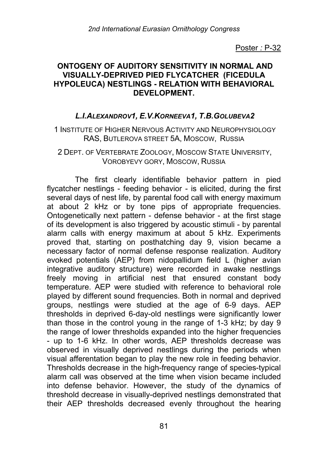### **ONTOGENY OF AUDITORY SENSITIVITY IN NORMAL AND VISUALLY-DEPRIVED PIED FLYCATCHER (FICEDULA HYPOLEUCA) NESTLINGS - RELATION WITH BEHAVIORAL DEVELOPMENT.**

## *L.I.ALEXANDROV1, E.V.KORNEEVA1, T.B.GOLUBEVA2*

1 INSTITUTE OF HIGHER NERVOUS ACTIVITY AND NEUROPHYSIOLOGY RAS, BUTLEROVA STREET 5A, MOSCOW, RUSSIA

2 DEPT. OF VERTEBRATE ZOOLOGY, MOSCOW STATE UNIVERSITY, VOROBYEVY GORY, MOSCOW, RUSSIA

The first clearly identifiable behavior pattern in pied flycatcher nestlings - feeding behavior - is elicited, during the first several days of nest life, by parental food call with energy maximum at about 2 kHz or by tone pips of appropriate frequencies. Ontogenetically next pattern - defense behavior - at the first stage of its development is also triggered by acoustic stimuli - by parental alarm calls with energy maximum at about 5 kHz. Experiments proved that, starting on posthatching day 9, vision became a necessary factor of normal defense response realization. Auditory evoked potentials (AEP) from nidopallidum field L (higher avian integrative auditory structure) were recorded in awake nestlings freely moving in artificial nest that ensured constant body temperature. AEP were studied with reference to behavioral role played by different sound frequencies. Both in normal and deprived groups, nestlings were studied at the age of 6-9 days. AEP thresholds in deprived 6-day-old nestlings were significantly lower than those in the control young in the range of 1-3 kHz; by day 9 the range of lower thresholds expanded into the higher frequencies - up to 1-6 kHz. In other words, AEP thresholds decrease was observed in visually deprived nestlings during the periods when visual afferentation began to play the new role in feeding behavior. Thresholds decrease in the high-frequency range of species-typical alarm call was observed at the time when vision became included into defense behavior. However, the study of the dynamics of threshold decrease in visually-deprived nestlings demonstrated that their AEP thresholds decreased evenly throughout the hearing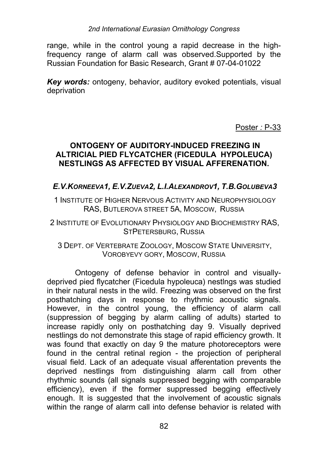range, while in the control young a rapid decrease in the highfrequency range of alarm call was observed.Supported by the Russian Foundation for Basic Research, Grant # 07-04-01022

*Key words:* ontogeny, behavior, auditory evoked potentials, visual deprivation

Poster *:* P-33

## **ONTOGENY OF AUDITORY-INDUCED FREEZING IN ALTRICIAL PIED FLYCATCHER (FICEDULA HYPOLEUCA) NESTLINGS AS AFFECTED BY VISUAL AFFERENATION.**

# *E.V.KORNEEVA1, E.V.ZUEVA2, L.I.ALEXANDROV1, T.B.GOLUBEVA3*

1 INSTITUTE OF HIGHER NERVOUS ACTIVITY AND NEUROPHYSIOLOGY RAS, BUTLEROVA STREET 5A, MOSCOW, RUSSIA

2 INSTITUTE OF EVOLUTIONARY PHYSIOLOGY AND BIOCHEMISTRY RAS, STPETERSBURG, RUSSIA

3 DEPT. OF VERTEBRATE ZOOLOGY, MOSCOW STATE UNIVERSITY, VOROBYEVY GORY, MOSCOW, RUSSIA

Ontogeny of defense behavior in control and visuallydeprived pied flycatcher (Ficedula hypoleuca) nestlngs was studied in their natural nests in the wild. Freezing was observed on the first posthatching days in response to rhythmic acoustic signals. However, in the control young, the efficiency of alarm call (suppression of begging by alarm calling of adults) started to increase rapidly only on posthatching day 9. Visually deprived nestlings do not demonstrate this stage of rapid efficiency growth. It was found that exactly on day 9 the mature photoreceptors were found in the central retinal region - the projection of peripheral visual field. Lack of an adequate visual afferentation prevents the deprived nestlings from distinguishing alarm call from other rhythmic sounds (all signals suppressed begging with comparable efficiency), even if the former suppressed begging effectively enough. It is suggested that the involvement of acoustic signals within the range of alarm call into defense behavior is related with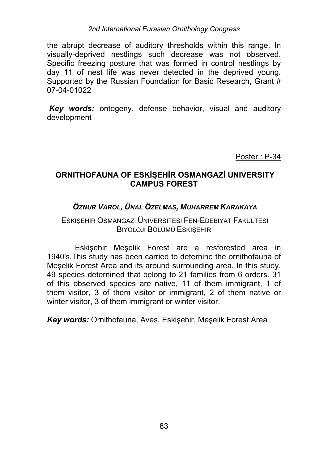#### *2nd International Eurasian Ornithology Congress*

the abrupt decrease of auditory thresholds within this range. In visually-deprived nestlings such decrease was not observed. Specific freezing posture that was formed in control nestlings by day 11 of nest life was never detected in the deprived young. Supported by the Russian Foundation for Basic Research, Grant # 07-04-01022

*Key words:* ontogeny, defense behavior, visual and auditory development

Poster *:* P-34

## **ORNITHOFAUNA OF ESKİŞEHİR OSMANGAZİ UNIVERSITY CAMPUS FOREST**

# *ÖZNUR VAROL, ÜNAL ÖZELMAS, MUHARREM KARAKAYA*

## ESKIŞEHIR OSMANGAZI ÜNIVERSITESI FEN-EDEBIYAT FAKÜLTESI BIYOLOJI BÖLÜMÜ ESKIŞEHIR

Eskişehir Meşelik Forest are a resforested area in 1940's.This study has been carried to deternine the ornithofauna of Meşelik Forest Area and its around surrounding area. In this study, 49 species deternined that belong to 21 families from 6 orders. 31 of this observed species are native, 11 of them immigrant, 1 of them visitor, 3 of them visitor or immigrant, 2 of them native or winter visitor, 3 of them immigrant or winter visitor.

*Key words:* Ornithofauna, Aves, Eskişehir, Meşelik Forest Area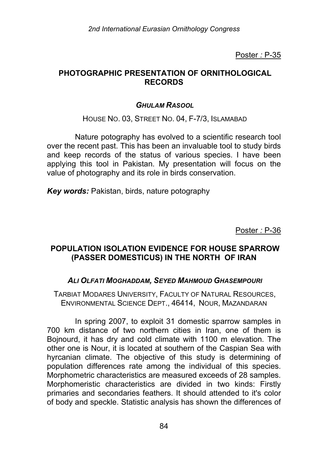### **PHOTOGRAPHIC PRESENTATION OF ORNITHOLOGICAL RECORDS**

### *GHULAM RASOOL*

HOUSE NO. 03, STREET NO. 04, F-7/3, ISLAMABAD

Nature potography has evolved to a scientific research tool over the recent past. This has been an invaluable tool to study birds and keep records of the status of various species. I have been applying this tool in Pakistan. My presentation will focus on the value of photography and its role in birds conservation.

*Key words:* Pakistan, birds, nature potography

Poster *:* P-36

## **POPULATION ISOLATION EVIDENCE FOR HOUSE SPARROW (PASSER DOMESTICUS) IN THE NORTH OF IRAN**

### *ALI OLFATI MOGHADDAM, SEYED MAHMOUD GHASEMPOURI*

TARBIAT MODARES UNIVERSITY, FACULTY OF NATURAL RESOURCES, ENVIRONMENTAL SCIENCE DEPT., 46414, NOUR, MAZANDARAN

In spring 2007, to exploit 31 domestic sparrow samples in 700 km distance of two northern cities in Iran, one of them is Bojnourd, it has dry and cold climate with 1100 m elevation. The other one is Nour, it is located at southern of the Caspian Sea with hyrcanian climate. The objective of this study is determining of population differences rate among the individual of this species. Morphometric characteristics are measured exceeds of 28 samples. Morphomeristic characteristics are divided in two kinds: Firstly primaries and secondaries feathers. It should attended to it's color of body and speckle. Statistic analysis has shown the differences of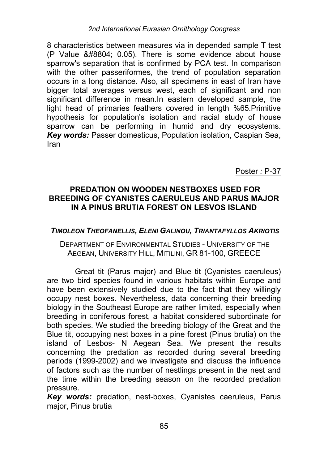8 characteristics between measures via in depended sample T test (P Value ≤ 0.05). There is some evidence about house sparrow's separation that is confirmed by PCA test. In comparison with the other passeriformes, the trend of population separation occurs in a long distance. Also, all specimens in east of Iran have bigger total averages versus west, each of significant and non significant difference in mean.In eastern developed sample, the light head of primaries feathers covered in length %65.Primitive hypothesis for population's isolation and racial study of house sparrow can be performing in humid and dry ecosystems. *Key words:* Passer domesticus, Population isolation, Caspian Sea, Iran

Poster *:* P-37

### **PREDATION ON WOODEN NESTBOXES USED FOR BREEDING OF CYANISTES CAERULEUS AND PARUS MAJOR IN A PINUS BRUTIA FOREST ON LESVOS ISLAND**

### *TIMOLEON THEOFANELLIS, ELENI GALINOU, TRIANTAFYLLOS AKRIOTIS*

#### DEPARTMENT OF ENVIRONMENTAL STUDIES - UNIVERSITY OF THE AEGEAN, UNIVERSITY HILL, MITILINI, GR 81-100, GREECE

Great tit (Parus major) and Blue tit (Cyanistes caeruleus) are two bird species found in various habitats within Europe and have been extensively studied due to the fact that they willingly occupy nest boxes. Nevertheless, data concerning their breeding biology in the Southeast Europe are rather limited, especially when breeding in coniferous forest, a habitat considered subordinate for both species. We studied the breeding biology of the Great and the Blue tit, occupying nest boxes in a pine forest (Pinus brutia) on the island of Lesbos- N Aegean Sea. We present the results concerning the predation as recorded during several breeding periods (1999-2002) and we investigate and discuss the influence of factors such as the number of nestlings present in the nest and the time within the breeding season on the recorded predation pressure.

*Key words:* predation, nest-boxes, Cyanistes caeruleus, Parus major, Pinus brutia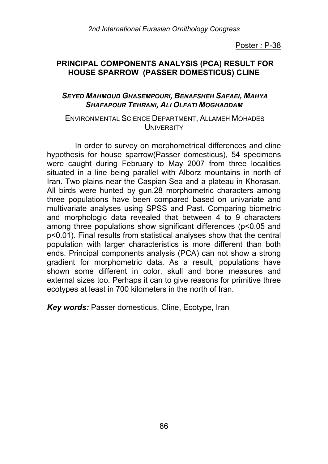### **PRINCIPAL COMPONENTS ANALYSIS (PCA) RESULT FOR HOUSE SPARROW (PASSER DOMESTICUS) CLINE**

#### *SEYED MAHMOUD GHASEMPOURI, BENAFSHEH SAFAEI, MAHYA SHAFAPOUR TEHRANI, ALI OLFATI MOGHADDAM*

#### ENVIRONMENTAL SCIENCE DEPARTMENT, ALLAMEH MOHADES **UNIVERSITY**

In order to survey on morphometrical differences and cline hypothesis for house sparrow(Passer domesticus), 54 specimens were caught during February to May 2007 from three localities situated in a line being parallel with Alborz mountains in north of Iran. Two plains near the Caspian Sea and a plateau in Khorasan. All birds were hunted by gun.28 morphometric characters among three populations have been compared based on univariate and multivariate analyses using SPSS and Past. Comparing biometric and morphologic data revealed that between 4 to 9 characters among three populations show significant differences (p<0.05 and p<0.01). Final results from statistical analyses show that the central population with larger characteristics is more different than both ends. Principal components analysis (PCA) can not show a strong gradient for morphometric data. As a result, populations have shown some different in color, skull and bone measures and external sizes too. Perhaps it can to give reasons for primitive three ecotypes at least in 700 kilometers in the north of Iran.

*Key words:* Passer domesticus, Cline, Ecotype, Iran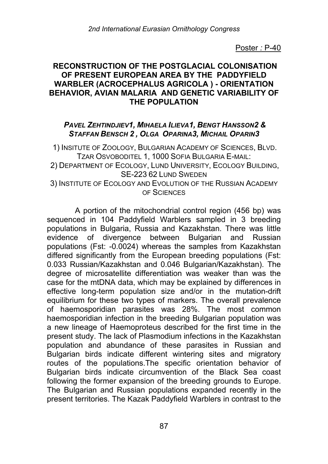### **RECONSTRUCTION OF THE POSTGLACIAL COLONISATION OF PRESENT EUROPEAN AREA BY THE PADDYFIELD WARBLER (ACROCEPHALUS AGRICOLA ) - ORIENTATION BEHAVIOR, AVIAN MALARIA AND GENETIC VARIABILITY OF THE POPULATION**

## *PAVEL ZEHTINDJIEV1, MIHAELA ILIEVA1, BENGT HANSSON2 & STAFFAN BENSCH 2 , OLGA OPARINA3, MICHAIL OPARIN3*

1) INSITUTE OF ZOOLOGY, BULGARIAN ACADEMY OF SCIENCES, BLVD. TZAR OSVOBODITEL 1, 1000 SOFIA BULGARIA E-MAIL: 2) DEPARTMENT OF ECOLOGY, LUND UNIVERSITY, ECOLOGY BUILDING, SE-223 62 LUND SWEDEN 3) INSTITUTE OF ECOLOGY AND EVOLUTION OF THE RUSSIAN ACADEMY OF SCIENCES

A portion of the mitochondrial control region (456 bp) was sequenced in 104 Paddyfield Warblers sampled in 3 breeding populations in Bulgaria, Russia and Kazakhstan. There was little evidence of divergence between Bulgarian and Russian populations (Fst: -0.0024) whereas the samples from Kazakhstan differed significantly from the European breeding populations (Fst: 0.033 Russian/Kazakhstan and 0.046 Bulgarian/Kazakhstan). The degree of microsatellite differentiation was weaker than was the case for the mtDNA data, which may be explained by differences in effective long-term population size and/or in the mutation-drift equilibrium for these two types of markers. The overall prevalence of haemosporidian parasites was 28%. The most common haemosporidian infection in the breeding Bulgarian population was a new lineage of Haemoproteus described for the first time in the present study. The lack of Plasmodium infections in the Kazakhstan population and abundance of these parasites in Russian and Bulgarian birds indicate different wintering sites and migratory routes of the populations.The specific orientation behavior of Bulgarian birds indicate circumvention of the Black Sea coast following the former expansion of the breeding grounds to Europe. The Bulgarian and Russian populations expanded recently in the present territories. The Kazak Paddyfield Warblers in contrast to the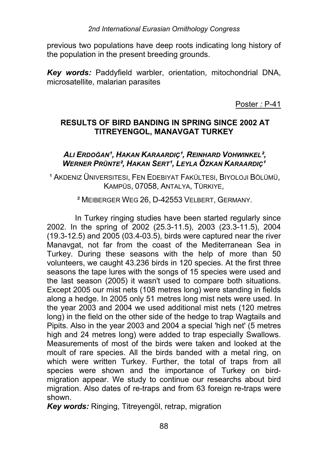previous two populations have deep roots indicating long history of the population in the present breeding grounds.

*Key words:* Paddyfield warbler, orientation, mitochondrial DNA, microsatellite, malarian parasites

Poster *:* P-41

# **RESULTS OF BIRD BANDING IN SPRING SINCE 2002 AT TITREYENGOL, MANAVGAT TURKEY**

## *ALI ERDOĞAN¹, HAKAN KARAARDIǹ, REINHARD VOHWINKEL², WERNER PRÜNTE², HAKAN SERT¹, LEYLA ÖZKAN KARAARDIǹ*

<sup>1</sup> AKDENIZ ÜNIVERSITESI, FEN EDEBIYAT FAKÜLTESI, BIYOLOJI BÖLÜMÜ, KAMPÜS, 07058, ANTALYA, TÜRKIYE,

² MEIBERGER WEG 26, D-42553 VELBERT, GERMANY.

In Turkey ringing studies have been started regularly since 2002. In the spring of 2002 (25.3-11.5), 2003 (23.3-11.5), 2004 (19.3-12.5) and 2005 (03.4-03.5), birds were captured near the river Manavgat, not far from the coast of the Mediterranean Sea in Turkey. During these seasons with the help of more than 50 volunteers, we caught 43.236 birds in 120 species. At the first three seasons the tape lures with the songs of 15 species were used and the last season (2005) it wasn't used to compare both situations. Except 2005 our mist nets (108 metres long) were standing in fields along a hedge. In 2005 only 51 metres long mist nets were used. In the year 2003 and 2004 we used additional mist nets (120 metres long) in the field on the other side of the hedge to trap Wagtails and Pipits. Also in the year 2003 and 2004 a special 'high net' (5 metres high and 24 metres long) were added to trap especially Swallows. Measurements of most of the birds were taken and looked at the moult of rare species. All the birds banded with a metal ring, on which were written Turkey. Further, the total of traps from all species were shown and the importance of Turkey on birdmigration appear. We study to continue our researchs about bird migration. Also dates of re-traps and from 63 foreign re-traps were shown.

*Key words:* Ringing, Titreyengöl, retrap, migration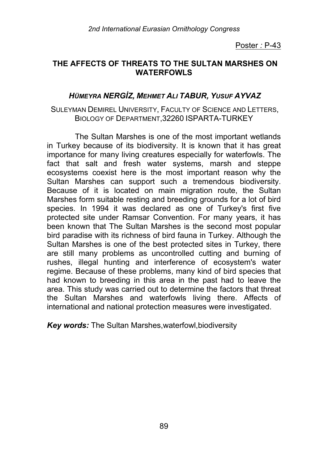## **THE AFFECTS OF THREATS TO THE SULTAN MARSHES ON WATERFOWLS**

## *HÜMEYRA NERGİZ, MEHMET ALI TABUR, YUSUF AYVAZ*

#### SULEYMAN DEMIREL UNIVERSITY, FACULTY OF SCIENCE AND LETTERS, BIOLOGY OF DEPARTMENT,32260 ISPARTA-TURKEY

The Sultan Marshes is one of the most important wetlands in Turkey because of its biodiversity. It is known that it has great importance for many living creatures especially for waterfowls. The fact that salt and fresh water systems, marsh and steppe ecosystems coexist here is the most important reason why the Sultan Marshes can support such a tremendous biodiversity. Because of it is located on main migration route, the Sultan Marshes form suitable resting and breeding grounds for a lot of bird species. In 1994 it was declared as one of Turkey's first five protected site under Ramsar Convention. For many years, it has been known that The Sultan Marshes is the second most popular bird paradise with its richness of bird fauna in Turkey. Although the Sultan Marshes is one of the best protected sites in Turkey, there are still many problems as uncontrolled cutting and burning of rushes, illegal hunting and interference of ecosystem's water regime. Because of these problems, many kind of bird species that had known to breeding in this area in the past had to leave the area. This study was carried out to determine the factors that threat the Sultan Marshes and waterfowls living there. Affects of international and national protection measures were investigated.

*Key words:* The Sultan Marshes,waterfowl,biodiversity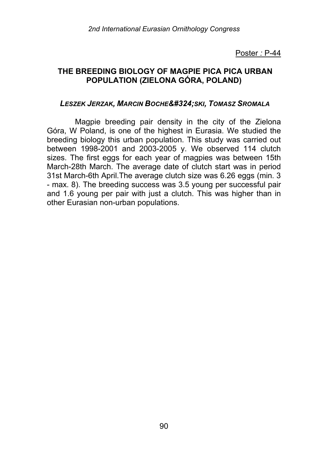## **THE BREEDING BIOLOGY OF MAGPIE PICA PICA URBAN POPULATION (ZIELONA GÓRA, POLAND)**

#### *LESZEK JERZAK, MARCIN BOCHEńSKI, TOMASZ SROMALA*

Magpie breeding pair density in the city of the Zielona Góra, W Poland, is one of the highest in Eurasia. We studied the breeding biology this urban population. This study was carried out between 1998-2001 and 2003-2005 y. We observed 114 clutch sizes. The first eggs for each year of magpies was between 15th March-28th March. The average date of clutch start was in period 31st March-6th April.The average clutch size was 6.26 eggs (min. 3 - max. 8). The breeding success was 3.5 young per successful pair and 1.6 young per pair with just a clutch. This was higher than in other Eurasian non-urban populations.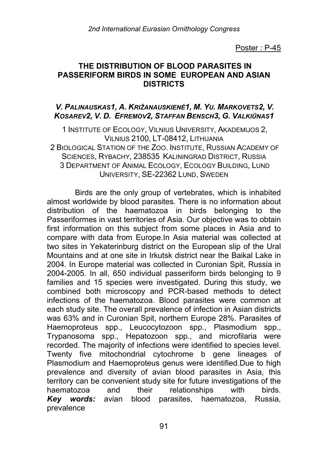### **THE DISTRIBUTION OF BLOOD PARASITES IN PASSERIFORM BIRDS IN SOME EUROPEAN AND ASIAN DISTRICTS**

### *V. PALINAUSKAS1, A. KRIŽANAUSKIENĖ1, M. YU. MARKOVETS2, V. KOSAREV2, V. D. EFREMOV2, STAFFAN BENSCH3, G. VALKIŪNAS1*

1 INSTITUTE OF ECOLOGY, VILNIUS UNIVERSITY, AKADEMIJOS 2, VILNIUS 2100, LT-08412, LITHUANIA 2 BIOLOGICAL STATION OF THE ZOO. INSTITUTE, RUSSIAN ACADEMY OF SCIENCES, RYBACHY, 238535 KALININGRAD DISTRICT, RUSSIA 3 DEPARTMENT OF ANIMAL ECOLOGY, ECOLOGY BUILDING, LUND UNIVERSITY, SE-22362 LUND, SWEDEN

Birds are the only group of vertebrates, which is inhabited almost worldwide by blood parasites. There is no information about distribution of the haematozoa in birds belonging to the Passeriformes in vast territories of Asia. Our objective was to obtain first information on this subject from some places in Asia and to compare with data from Europe.In Asia material was collected at two sites in Yekaterinburg district on the European slip of the Ural Mountains and at one site in Irkutsk district near the Baikal Lake in 2004. In Europe material was collected in Curonian Spit, Russia in 2004-2005. In all, 650 individual passeriform birds belonging to 9 families and 15 species were investigated. During this study, we combined both microscopy and PCR-based methods to detect infections of the haematozoa. Blood parasites were common at each study site. The overall prevalence of infection in Asian districts was 63% and in Curonian Spit, northern Europe 28%. Parasites of Haemoproteus spp., Leucocytozoon spp., Plasmodium spp., Trypanosoma spp., Hepatozoon spp., and microfilaria were recorded. The majority of infections were identified to species level. Twenty five mitochondrial cytochrome b gene lineages of Plasmodium and Haemoproteus genus were identified.Due to high prevalence and diversity of avian blood parasites in Asia, this territory can be convenient study site for future investigations of the haematozoa and their relationships with birds. *Key words:* avian blood parasites, haematozoa, Russia, prevalence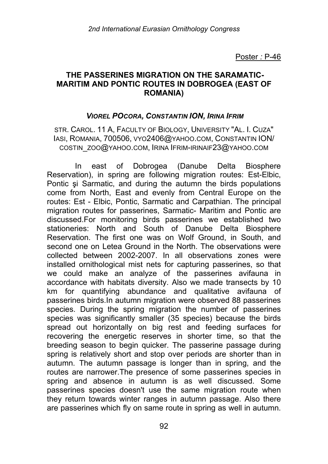## **THE PASSERINES MIGRATION ON THE SARAMATIC-MARITIM AND PONTIC ROUTES IN DOBROGEA (EAST OF ROMANIA)**

#### *VIOREL POCORA, CONSTANTIN ION, IRINA IFRIM*

STR. CAROL. 11 A, FACULTY OF BIOLOGY, UNIVERSITY "AL. I. CUZA" IASI, ROMANIA, 700506, VYO2406@YAHOO.COM, CONSTANTIN ION/ COSTIN\_ZOO@YAHOO.COM, IRINA IFRIM-IRINAIF23@YAHOO.COM

In east of Dobrogea (Danube Delta Biosphere Reservation), in spring are following migration routes: Est-Elbic, Pontic si Sarmatic, and during the autumn the birds populations come from North, East and evenly from Central Europe on the routes: Est - Elbic, Pontic, Sarmatic and Carpathian. The principal migration routes for passerines, Sarmatic- Maritim and Pontic are discussed.For monitoring birds passerines we established two stationeries: North and South of Danube Delta Biosphere Reservation. The first one was on Wolf Ground, in South, and second one on Letea Ground in the North. The observations were collected between 2002-2007. In all observations zones were installed ornithological mist nets for capturing passerines, so that we could make an analyze of the passerines avifauna in accordance with habitats diversity. Also we made transects by 10 km for quantifying abundance and qualitative avifauna of passerines birds.In autumn migration were observed 88 passerines species. During the spring migration the number of passerines species was significantly smaller (35 species) because the birds spread out horizontally on big rest and feeding surfaces for recovering the energetic reserves in shorter time, so that the breeding season to begin quicker. The passerine passage during spring is relatively short and stop over periods are shorter than in autumn. The autumn passage is longer than in spring, and the routes are narrower.The presence of some passerines species in spring and absence in autumn is as well discussed. Some passerines species doesn't use the same migration route when they return towards winter ranges in autumn passage. Also there are passerines which fly on same route in spring as well in autumn.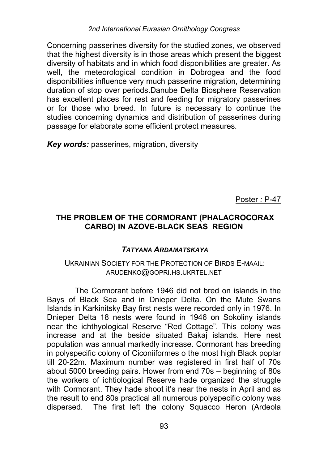Concerning passerines diversity for the studied zones, we observed that the highest diversity is in those areas which present the biggest diversity of habitats and in which food disponibilities are greater. As well, the meteorological condition in Dobrogea and the food disponibilities influence very much passerine migration, determining duration of stop over periods.Danube Delta Biosphere Reservation has excellent places for rest and feeding for migratory passerines or for those who breed. In future is necessary to continue the studies concerning dynamics and distribution of passerines during passage for elaborate some efficient protect measures.

*Key words:* passerines, migration, diversity

Poster *:* P-47

# **THE PROBLEM OF THE CORMORANT (PHALACROCORAX CARBO) IN AZOVE-BLACK SEAS REGION**

# *TATYANA ARDAMATSKAYA*

#### UKRAINIAN SOCIETY FOR THE PROTECTION OF BIRDS E-MAAIL: ARUDENKO@GOPRI.HS.UKRTEL.NET

The Cormorant before 1946 did not bred on islands in the Bays of Black Sea and in Dnieper Delta. On the Mute Swans Islands in Karkinitsky Bay first nests were recorded only in 1976. In Dnieper Delta 18 nests were found in 1946 on Sokoliny islands near the ichthyological Reserve "Red Cottage". This colony was increase and at the beside situated Bakaj islands. Here nest population was annual markedly increase. Cormorant has breeding in polyspecific colony of Ciconiiformes o the most high Black poplar till 20-22m. Maximum number was registered in first half of 70s about 5000 breeding pairs. Hower from end 70s – beginning of 80s the workers of ichtiological Reserve hade organized the struggle with Cormorant. They hade shoot it's near the nests in April and as the result to end 80s practical all numerous polyspecific colony was dispersed. The first left the colony Squacco Heron (Ardeola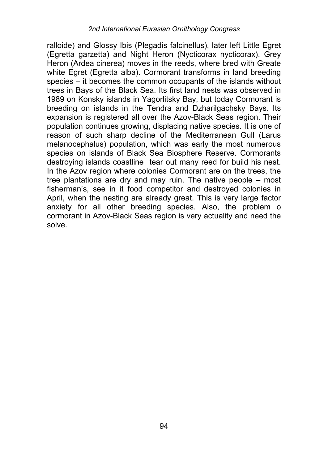ralloide) and Glossy Ibis (Plegadis falcinellus), later left Little Egret (Egretta garzetta) and Night Heron (Nycticorax nycticorax). Grey Heron (Ardea cinerea) moves in the reeds, where bred with Greate white Egret (Egretta alba). Cormorant transforms in land breeding species – it becomes the common occupants of the islands without trees in Bays of the Black Sea. Its first land nests was observed in 1989 on Konsky islands in Yagorlitsky Bay, but today Cormorant is breeding on islands in the Tendra and Dzharilgachsky Bays. Its expansion is registered all over the Azov-Black Seas region. Their population continues growing, displacing native species. It is one of reason of such sharp decline of the Mediterranean Gull (Larus melanocephalus) population, which was early the most numerous species on islands of Black Sea Biosphere Reserve. Cormorants destroying islands coastline tear out many reed for build his nest. In the Azov region where colonies Cormorant are on the trees, the tree plantations are dry and may ruin. The native people – most fisherman's, see in it food competitor and destroyed colonies in April, when the nesting are already great. This is very large factor anxiety for all other breeding species. Also, the problem o cormorant in Azov-Black Seas region is very actuality and need the solve.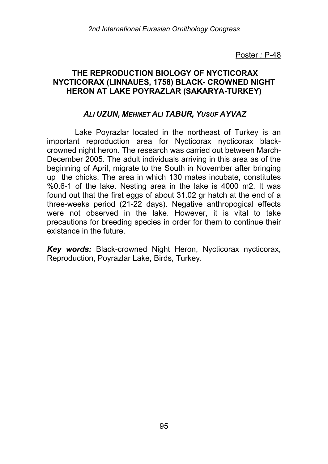## **THE REPRODUCTION BIOLOGY OF NYCTICORAX NYCTICORAX (LINNAUES, 1758) BLACK- CROWNED NIGHT HERON AT LAKE POYRAZLAR (SAKARYA-TURKEY)**

## *ALI UZUN, MEHMET ALI TABUR, YUSUF AYVAZ*

Lake Poyrazlar located in the northeast of Turkey is an important reproduction area for Nycticorax nycticorax blackcrowned night heron. The research was carried out between March-December 2005. The adult individuals arriving in this area as of the beginning of April, migrate to the South in November after bringing up the chicks. The area in which 130 mates incubate, constitutes %0.6-1 of the lake. Nesting area in the lake is 4000 m2. It was found out that the first eggs of about 31.02 gr hatch at the end of a three-weeks period (21-22 days). Negative anthropogical effects were not observed in the lake. However, it is vital to take precautions for breeding species in order for them to continue their existance in the future.

Key words: Black-crowned Night Heron, Nycticorax nycticorax, Reproduction, Poyrazlar Lake, Birds, Turkey.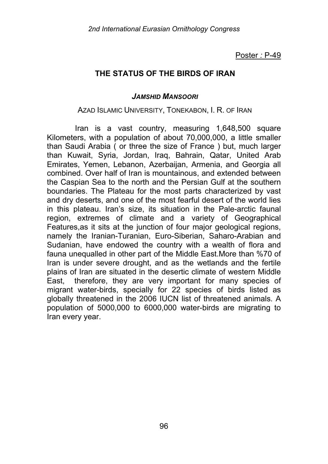# **THE STATUS OF THE BIRDS OF IRAN**

#### *JAMSHID MANSOORI*

#### AZAD ISLAMIC UNIVERSITY, TONEKABON, I. R. OF IRAN

Iran is a vast country, measuring 1,648,500 square Kilometers, with a population of about 70,000,000, a little smaller than Saudi Arabia ( or three the size of France ) but, much larger than Kuwait, Syria, Jordan, Iraq, Bahrain, Qatar, United Arab Emirates, Yemen, Lebanon, Azerbaijan, Armenia, and Georgia all combined. Over half of Iran is mountainous, and extended between the Caspian Sea to the north and the Persian Gulf at the southern boundaries. The Plateau for the most parts characterized by vast and dry deserts, and one of the most fearful desert of the world lies in this plateau. Iran's size, its situation in the Pale-arctic faunal region, extremes of climate and a variety of Geographical Features,as it sits at the junction of four major geological regions, namely the Iranian-Turanian, Euro-Siberian, Saharo-Arabian and Sudanian, have endowed the country with a wealth of flora and fauna unequalled in other part of the Middle East.More than %70 of Iran is under severe drought, and as the wetlands and the fertile plains of Iran are situated in the desertic climate of western Middle East, therefore, they are very important for many species of migrant water-birds, specially for 22 species of birds listed as globally threatened in the 2006 IUCN list of threatened animals. A population of 5000,000 to 6000,000 water-birds are migrating to Iran every year.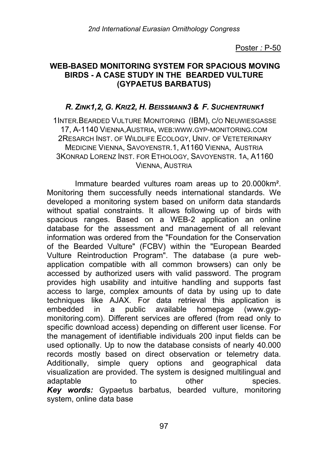### **WEB-BASED MONITORING SYSTEM FOR SPACIOUS MOVING BIRDS - A CASE STUDY IN THE BEARDED VULTURE (GYPAETUS BARBATUS)**

### *R. ZINK1,2, G. KRIZ2, H. BEISSMANN3 & F. SUCHENTRUNK1*

1INTER.BEARDED VULTURE MONITORING (IBM), C/O NEUWIESGASSE 17, A-1140 VIENNA,AUSTRIA, WEB:WWW.GYP-MONITORING.COM 2RESARCH INST. OF WILDLIFE ECOLOGY, UNIV. OF VETETERINARY MEDICINE VIENNA, SAVOYENSTR.1, A1160 VIENNA, AUSTRIA 3KONRAD LORENZ INST. FOR ETHOLOGY, SAVOYENSTR. 1A, A1160 VIENNA, AUSTRIA

Immature bearded vultures roam areas up to 20.000km². Monitoring them successfully needs international standards. We developed a monitoring system based on uniform data standards without spatial constraints. It allows following up of birds with spacious ranges. Based on a WEB-2 application an online database for the assessment and management of all relevant information was ordered from the "Foundation for the Conservation of the Bearded Vulture" (FCBV) within the "European Bearded Vulture Reintroduction Program". The database (a pure webapplication compatible with all common browsers) can only be accessed by authorized users with valid password. The program provides high usability and intuitive handling and supports fast access to large, complex amounts of data by using up to date techniques like AJAX. For data retrieval this application is embedded in a public available homepage (www.gypmonitoring.com). Different services are offered (from read only to specific download access) depending on different user license. For the management of identifiable individuals 200 input fields can be used optionally. Up to now the database consists of nearly 40.000 records mostly based on direct observation or telemetry data. Additionally, simple query options and geographical data visualization are provided. The system is designed multilingual and adaptable to other species. *Key words:* Gypaetus barbatus, bearded vulture, monitoring system, online data base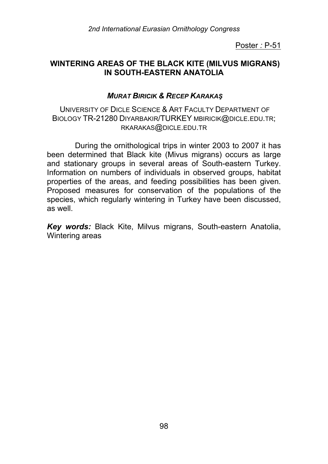## **WINTERING AREAS OF THE BLACK KITE (MILVUS MIGRANS) IN SOUTH-EASTERN ANATOLIA**

## *MURAT BIRICIK & RECEP KARAKAŞ*

UNIVERSITY OF DICLE SCIENCE & ART FACULTY DEPARTMENT OF BIOLOGY TR-21280 DIYARBAKIR/TURKEY MBIRICIK@DICLE.EDU.TR; RKARAKAS@DICLE.EDU.TR

During the ornithological trips in winter 2003 to 2007 it has been determined that Black kite (Mivus migrans) occurs as large and stationary groups in several areas of South-eastern Turkey. Information on numbers of individuals in observed groups, habitat properties of the areas, and feeding possibilities has been given. Proposed measures for conservation of the populations of the species, which regularly wintering in Turkey have been discussed, as well.

*Key words:* Black Kite, Milvus migrans, South-eastern Anatolia, Wintering areas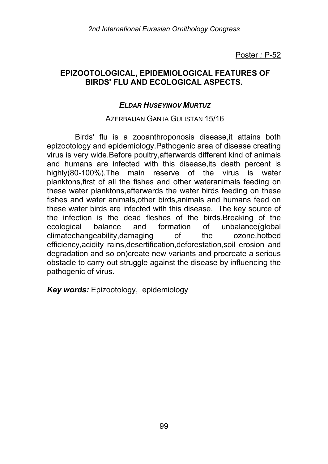### **EPIZOOTOLOGICAL, EPIDEMIOLOGICAL FEATURES OF BIRDS' FLU AND ECOLOGICAL ASPECTS.**

### *ELDAR HUSEYINOV MURTUZ*

#### AZERBAIJAN GANJA GULISTAN 15/16

Birds' flu is a zooanthroponosis disease,it attains both epizootology and epidemiology.Pathogenic area of disease creating virus is very wide.Before poultry,afterwards different kind of animals and humans are infected with this disease,its death percent is highly(80-100%).The main reserve of the virus is water planktons,first of all the fishes and other wateranimals feeding on these water planktons,afterwards the water birds feeding on these fishes and water animals,other birds,animals and humans feed on these water birds are infected with this disease. The key source of the infection is the dead fleshes of the birds.Breaking of the ecological balance and formation of unbalance(global climatechangeability,damaging of the ozone,hotbed efficiency,acidity rains,desertification,deforestation,soil erosion and degradation and so on)create new variants and procreate a serious obstacle to carry out struggle against the disease by influencing the pathogenic of virus.

*Key words:* Epizootology, epidemiology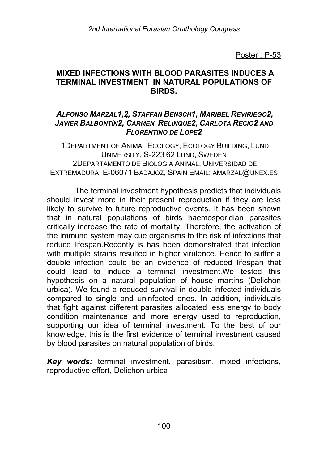### **MIXED INFECTIONS WITH BLOOD PARASITES INDUCES A TERMINAL INVESTMENT IN NATURAL POPULATIONS OF BIRDS.**

### *ALFONSO MARZAL1,2, STAFFAN BENSCH1, MARIBEL REVIRIEGO2, JAVIER BALBONTÍN2, CARMEN RELINQUE2, CARLOTA RECIO2 AND FLORENTINO DE LOPE2*

1DEPARTMENT OF ANIMAL ECOLOGY, ECOLOGY BUILDING, LUND UNIVERSITY, S-223 62 LUND, SWEDEN 2DEPARTAMENTO DE BIOLOGÍA ANIMAL, UNIVERSIDAD DE EXTREMADURA, E-06071 BADAJOZ, SPAIN EMAIL: AMARZAL@UNEX.ES

The terminal investment hypothesis predicts that individuals should invest more in their present reproduction if they are less likely to survive to future reproductive events. It has been shown that in natural populations of birds haemosporidian parasites critically increase the rate of mortality. Therefore, the activation of the immune system may cue organisms to the risk of infections that reduce lifespan.Recently is has been demonstrated that infection with multiple strains resulted in higher virulence. Hence to suffer a double infection could be an evidence of reduced lifespan that could lead to induce a terminal investment.We tested this hypothesis on a natural population of house martins (Delichon urbica). We found a reduced survival in double-infected individuals compared to single and uninfected ones. In addition, individuals that fight against different parasites allocated less energy to body condition maintenance and more energy used to reproduction, supporting our idea of terminal investment. To the best of our knowledge, this is the first evidence of terminal investment caused by blood parasites on natural population of birds.

*Key words:* terminal investment, parasitism, mixed infections, reproductive effort, Delichon urbica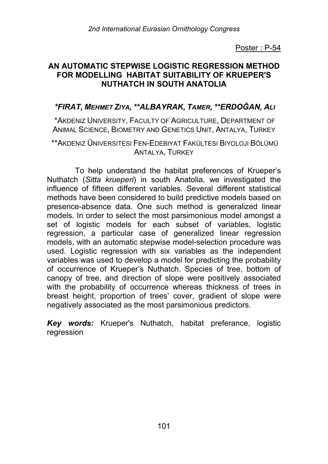## **AN AUTOMATIC STEPWISE LOGISTIC REGRESSION METHOD FOR MODELLING HABITAT SUITABILITY OF KRUEPER'S NUTHATCH IN SOUTH ANATOLIA**

## *\*FIRAT, MEHMET ZIYA, \*\*ALBAYRAK, TAMER, \*\*ERDOĞAN, ALI*

\*AKDENIZ UNIVERSITY, FACULTY OF AGRICULTURE, DEPARTMENT OF ANIMAL SCIENCE, BIOMETRY AND GENETICS UNIT, ANTALYA, TURKEY

\*\*AKDENIZ ÜNIVERSITESI FEN-EDEBIYAT FAKÜLTESI BIYOLOJI BÖLÜMÜ ANTALYA, TURKEY

To help understand the habitat preferences of Krueper's Nuthatch (*Sitta krueperi*) in south Anatolia, we investigated the influence of fifteen different variables. Several different statistical methods have been considered to build predictive models based on presence-absence data. One such method is generalized linear models. In order to select the most parsimonious model amongst a set of logistic models for each subset of variables, logistic regression, a particular case of generalized linear regression models, with an automatic stepwise model-selection procedure was used. Logistic regression with six variables as the independent variables was used to develop a model for predicting the probability of occurrence of Krueper's Nuthatch. Species of tree, bottom of canopy of tree, and direction of slope were positively associated with the probability of occurrence whereas thickness of trees in breast height, proportion of trees' cover, gradient of slope were negatively associated as the most parsimonious predictors.

*Key words:* Krueper's Nuthatch, habitat preferance, logistic regression